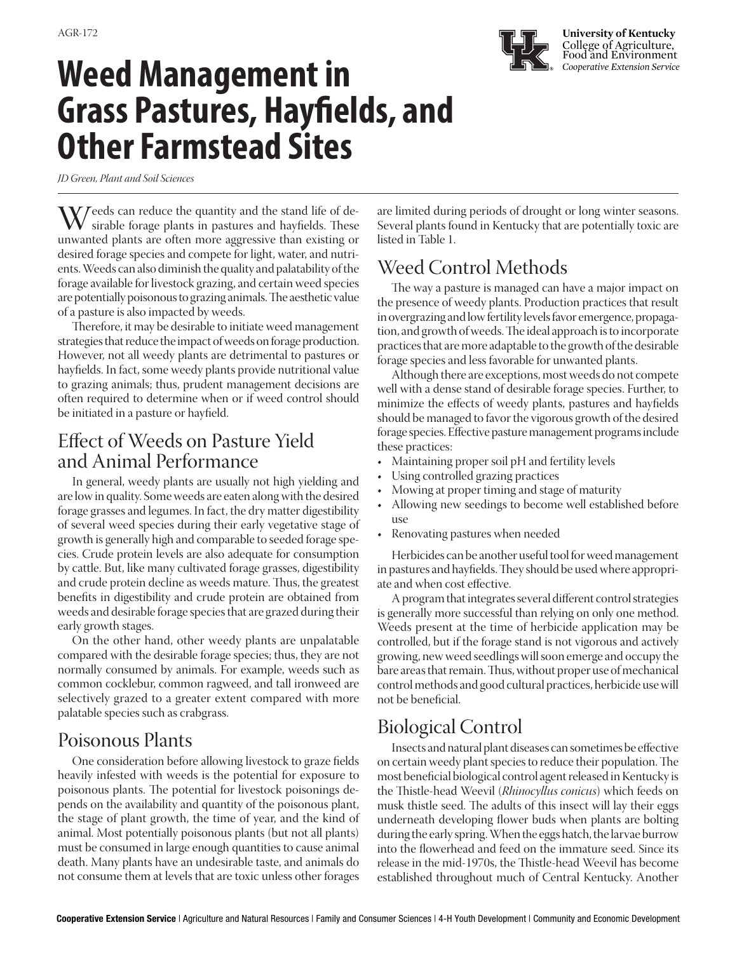

*JD Green, Plant and Soil Sciences*

 $\bf V$  / eeds can reduce the quantity and the stand life of desirable forage plants in pastures and hayfields. These unwanted plants are often more aggressive than existing or desired forage species and compete for light, water, and nutrients. Weeds can also diminish the quality and palatability of the forage available for livestock grazing, and certain weed species are potentially poisonous to grazing animals. The aesthetic value of a pasture is also impacted by weeds.

Therefore, it may be desirable to initiate weed management strategies that reduce the impact of weeds on forage production. However, not all weedy plants are detrimental to pastures or hayfields. In fact, some weedy plants provide nutritional value to grazing animals; thus, prudent management decisions are often required to determine when or if weed control should be initiated in a pasture or hayfield.

# Effect of Weeds on Pasture Yield and Animal Performance

In general, weedy plants are usually not high yielding and are low in quality. Some weeds are eaten along with the desired forage grasses and legumes. In fact, the dry matter digestibility of several weed species during their early vegetative stage of growth is generally high and comparable to seeded forage species. Crude protein levels are also adequate for consumption by cattle. But, like many cultivated forage grasses, digestibility and crude protein decline as weeds mature. Thus, the greatest benefits in digestibility and crude protein are obtained from weeds and desirable forage species that are grazed during their early growth stages.

On the other hand, other weedy plants are unpalatable compared with the desirable forage species; thus, they are not normally consumed by animals. For example, weeds such as common cocklebur, common ragweed, and tall ironweed are selectively grazed to a greater extent compared with more palatable species such as crabgrass.

# Poisonous Plants

One consideration before allowing livestock to graze fields heavily infested with weeds is the potential for exposure to poisonous plants. The potential for livestock poisonings depends on the availability and quantity of the poisonous plant, the stage of plant growth, the time of year, and the kind of animal. Most potentially poisonous plants (but not all plants) must be consumed in large enough quantities to cause animal death. Many plants have an undesirable taste, and animals do not consume them at levels that are toxic unless other forages

are limited during periods of drought or long winter seasons. Several plants found in Kentucky that are potentially toxic are listed in Table 1.

# Weed Control Methods

The way a pasture is managed can have a major impact on the presence of weedy plants. Production practices that result in overgrazing and low fertility levels favor emergence, propagation, and growth of weeds. The ideal approach is to incorporate practices that are more adaptable to the growth of the desirable forage species and less favorable for unwanted plants.

Although there are exceptions, most weeds do not compete well with a dense stand of desirable forage species. Further, to minimize the effects of weedy plants, pastures and hayfields should be managed to favor the vigorous growth of the desired forage species. Effective pasture management programs include these practices:

- Maintaining proper soil pH and fertility levels
- Using controlled grazing practices
- Mowing at proper timing and stage of maturity
- Allowing new seedings to become well established before use
- Renovating pastures when needed

Herbicides can be another useful tool for weed management in pastures and hayfields. They should be used where appropriate and when cost effective.

A program that integrates several different control strategies is generally more successful than relying on only one method. Weeds present at the time of herbicide application may be controlled, but if the forage stand is not vigorous and actively growing, new weed seedlings will soon emerge and occupy the bare areas that remain. Thus, without proper use of mechanical control methods and good cultural practices, herbicide use will not be beneficial.

# Biological Control

Insects and natural plant diseases can sometimes be effective on certain weedy plant species to reduce their population. The most beneficial biological control agent released in Kentucky is the Thistle-head Weevil (*Rhinocyllus conicus*) which feeds on musk thistle seed. The adults of this insect will lay their eggs underneath developing flower buds when plants are bolting during the early spring.When the eggs hatch, the larvae burrow into the flowerhead and feed on the immature seed. Since its release in the mid-1970s, the Thistle-head Weevil has become established throughout much of Central Kentucky. Another

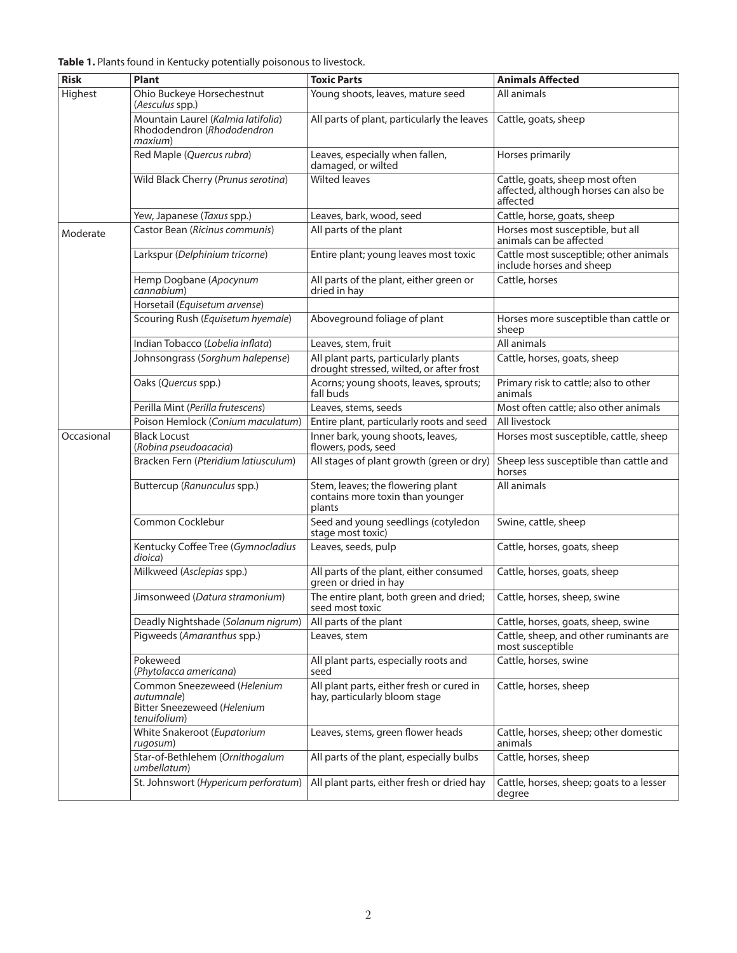|  | Table 1. Plants found in Kentucky potentially poisonous to livestock. |
|--|-----------------------------------------------------------------------|
|--|-----------------------------------------------------------------------|

| <b>Risk</b> | Plant                                                                                           | <b>Toxic Parts</b>                                                               | <b>Animals Affected</b>                                                              |  |  |
|-------------|-------------------------------------------------------------------------------------------------|----------------------------------------------------------------------------------|--------------------------------------------------------------------------------------|--|--|
| Highest     | Ohio Buckeye Horsechestnut<br>(Aesculus spp.)                                                   | Young shoots, leaves, mature seed                                                | All animals                                                                          |  |  |
|             | Mountain Laurel (Kalmia latifolia)<br>Rhododendron (Rhododendron<br>maxium)                     | All parts of plant, particularly the leaves                                      | Cattle, goats, sheep                                                                 |  |  |
|             | Red Maple (Quercus rubra)                                                                       | Leaves, especially when fallen,<br>damaged, or wilted                            | Horses primarily                                                                     |  |  |
|             | Wild Black Cherry (Prunus serotina)                                                             | <b>Wilted leaves</b>                                                             | Cattle, goats, sheep most often<br>affected, although horses can also be<br>affected |  |  |
|             | Yew, Japanese (Taxus spp.)                                                                      | Leaves, bark, wood, seed                                                         | Cattle, horse, goats, sheep                                                          |  |  |
| Moderate    | Castor Bean (Ricinus communis)                                                                  | All parts of the plant                                                           | Horses most susceptible, but all<br>animals can be affected                          |  |  |
|             | Larkspur (Delphinium tricorne)                                                                  | Entire plant; young leaves most toxic                                            | Cattle most susceptible; other animals<br>include horses and sheep                   |  |  |
|             | Hemp Dogbane (Apocynum<br>$c$ annabium $)$                                                      | All parts of the plant, either green or<br>dried in hay                          | Cattle, horses                                                                       |  |  |
|             | Horsetail (Equisetum arvense)                                                                   |                                                                                  |                                                                                      |  |  |
|             | Scouring Rush (Equisetum hyemale)                                                               | Aboveground foliage of plant                                                     | Horses more susceptible than cattle or<br>sheep                                      |  |  |
|             | Indian Tobacco (Lobelia inflata)                                                                | Leaves, stem, fruit                                                              | All animals                                                                          |  |  |
|             | Johnsongrass (Sorghum halepense)                                                                | All plant parts, particularly plants<br>drought stressed, wilted, or after frost | Cattle, horses, goats, sheep                                                         |  |  |
|             | Oaks (Quercus spp.)                                                                             | Acorns; young shoots, leaves, sprouts;<br>fall buds                              | Primary risk to cattle; also to other<br>animals                                     |  |  |
|             | Perilla Mint (Perilla frutescens)                                                               | Leaves, stems, seeds                                                             | Most often cattle; also other animals                                                |  |  |
|             | Poison Hemlock (Conium maculatum)                                                               | Entire plant, particularly roots and seed                                        | All livestock                                                                        |  |  |
| Occasional  | <b>Black Locust</b><br>(Robina pseudoacacia)                                                    | Inner bark, young shoots, leaves,<br>flowers, pods, seed                         | Horses most susceptible, cattle, sheep                                               |  |  |
|             | Bracken Fern (Pteridium latiusculum)                                                            | All stages of plant growth (green or dry)                                        | Sheep less susceptible than cattle and<br>horses                                     |  |  |
|             | Buttercup (Ranunculus spp.)                                                                     | Stem, leaves; the flowering plant<br>contains more toxin than younger<br>plants  | All animals                                                                          |  |  |
|             | Common Cocklebur                                                                                | Seed and young seedlings (cotyledon<br>stage most toxic)                         | Swine, cattle, sheep                                                                 |  |  |
|             | Kentucky Coffee Tree (Gymnocladius<br>dioica)                                                   | Leaves, seeds, pulp                                                              | Cattle, horses, goats, sheep                                                         |  |  |
|             | Milkweed (Asclepias spp.)                                                                       | All parts of the plant, either consumed<br>green or dried in hay                 | Cattle, horses, goats, sheep                                                         |  |  |
|             | Jimsonweed (Datura stramonium)                                                                  | The entire plant, both green and dried;<br>seed most toxic                       | Cattle, horses, sheep, swine                                                         |  |  |
|             | Deadly Nightshade (Solanum nigrum)                                                              | All parts of the plant                                                           | Cattle, horses, goats, sheep, swine                                                  |  |  |
|             | Pigweeds (Amaranthus spp.)                                                                      | Leaves, stem                                                                     | Cattle, sheep, and other ruminants are<br>most susceptible                           |  |  |
|             | Pokeweed<br>(Phytolacca americana)                                                              | All plant parts, especially roots and<br>seed                                    | Cattle, horses, swine                                                                |  |  |
|             | Common Sneezeweed (Helenium<br>autumnale)<br><b>Bitter Sneezeweed (Helenium</b><br>tenuifolium) | All plant parts, either fresh or cured in<br>hay, particularly bloom stage       | Cattle, horses, sheep                                                                |  |  |
|             | White Snakeroot (Eupatorium<br>rugosum)                                                         | Leaves, stems, green flower heads                                                | Cattle, horses, sheep; other domestic<br>animals                                     |  |  |
|             | Star-of-Bethlehem (Ornithogalum<br>umbellatum)                                                  | All parts of the plant, especially bulbs                                         | Cattle, horses, sheep                                                                |  |  |
|             | St. Johnswort (Hypericum perforatum)                                                            | All plant parts, either fresh or dried hay                                       | Cattle, horses, sheep; goats to a lesser<br>degree                                   |  |  |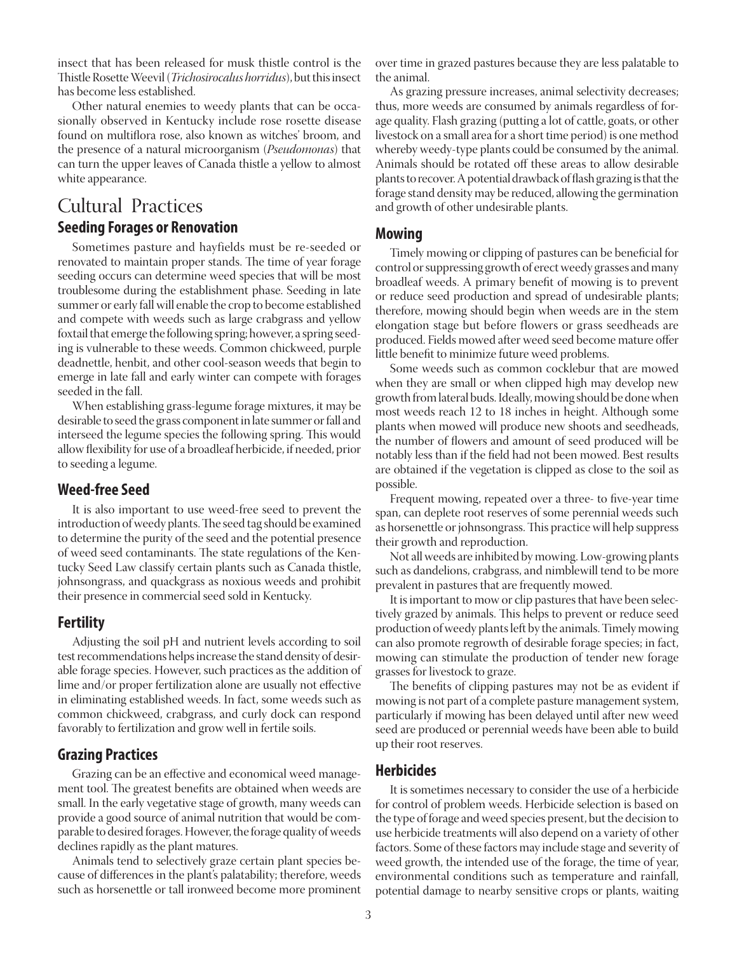insect that has been released for musk thistle control is the Thistle Rosette Weevil (*Trichosirocalus horridus*), but this insect has become less established.

Other natural enemies to weedy plants that can be occasionally observed in Kentucky include rose rosette disease found on multiflora rose, also known as witches' broom, and the presence of a natural microorganism (*Pseudomonas*) that can turn the upper leaves of Canada thistle a yellow to almost white appearance.

## Cultural Practices **Seeding Forages or Renovation**

Sometimes pasture and hayfields must be re-seeded or renovated to maintain proper stands. The time of year forage seeding occurs can determine weed species that will be most troublesome during the establishment phase. Seeding in late summer or early fall will enable the crop to become established and compete with weeds such as large crabgrass and yellow foxtail that emerge the following spring; however, a spring seeding is vulnerable to these weeds. Common chickweed, purple deadnettle, henbit, and other cool-season weeds that begin to emerge in late fall and early winter can compete with forages seeded in the fall.

When establishing grass-legume forage mixtures, it may be desirable to seed the grass component in late summer or fall and interseed the legume species the following spring. This would allow flexibility for use of a broadleaf herbicide, if needed, prior to seeding a legume.

### **Weed-free Seed**

It is also important to use weed-free seed to prevent the introduction of weedy plants. The seed tag should be examined to determine the purity of the seed and the potential presence of weed seed contaminants. The state regulations of the Kentucky Seed Law classify certain plants such as Canada thistle, johnsongrass, and quackgrass as noxious weeds and prohibit their presence in commercial seed sold in Kentucky.

### **Fertility**

Adjusting the soil pH and nutrient levels according to soil test recommendations helps increase the stand density of desirable forage species. However, such practices as the addition of lime and/or proper fertilization alone are usually not effective in eliminating established weeds. In fact, some weeds such as common chickweed, crabgrass, and curly dock can respond favorably to fertilization and grow well in fertile soils.

### **Grazing Practices**

Grazing can be an effective and economical weed management tool. The greatest benefits are obtained when weeds are small. In the early vegetative stage of growth, many weeds can provide a good source of animal nutrition that would be comparable to desired forages. However, the forage quality of weeds declines rapidly as the plant matures.

Animals tend to selectively graze certain plant species because of differences in the plant's palatability; therefore, weeds such as horsenettle or tall ironweed become more prominent over time in grazed pastures because they are less palatable to the animal.

As grazing pressure increases, animal selectivity decreases; thus, more weeds are consumed by animals regardless of forage quality. Flash grazing (putting a lot of cattle, goats, or other livestock on a small area for a short time period) is one method whereby weedy-type plants could be consumed by the animal. Animals should be rotated off these areas to allow desirable plants to recover. A potential drawback of flash grazing is that the forage stand density may be reduced, allowing the germination and growth of other undesirable plants.

### **Mowing**

Timely mowing or clipping of pastures can be beneficial for control or suppressing growth of erect weedy grasses and many broadleaf weeds. A primary benefit of mowing is to prevent or reduce seed production and spread of undesirable plants; therefore, mowing should begin when weeds are in the stem elongation stage but before flowers or grass seedheads are produced. Fields mowed after weed seed become mature offer little benefit to minimize future weed problems.

Some weeds such as common cocklebur that are mowed when they are small or when clipped high may develop new growth from lateral buds. Ideally, mowing should be done when most weeds reach 12 to 18 inches in height. Although some plants when mowed will produce new shoots and seedheads, the number of flowers and amount of seed produced will be notably less than if the field had not been mowed. Best results are obtained if the vegetation is clipped as close to the soil as possible.

Frequent mowing, repeated over a three- to five-year time span, can deplete root reserves of some perennial weeds such as horsenettle or johnsongrass. This practice will help suppress their growth and reproduction.

Not all weeds are inhibited by mowing. Low-growing plants such as dandelions, crabgrass, and nimblewill tend to be more prevalent in pastures that are frequently mowed.

It is important to mow or clip pastures that have been selectively grazed by animals. This helps to prevent or reduce seed production of weedy plants left by the animals. Timely mowing can also promote regrowth of desirable forage species; in fact, mowing can stimulate the production of tender new forage grasses for livestock to graze.

The benefits of clipping pastures may not be as evident if mowing is not part of a complete pasture management system, particularly if mowing has been delayed until after new weed seed are produced or perennial weeds have been able to build up their root reserves.

### **Herbicides**

It is sometimes necessary to consider the use of a herbicide for control of problem weeds. Herbicide selection is based on the type of forage and weed species present, but the decision to use herbicide treatments will also depend on a variety of other factors. Some of these factors may include stage and severity of weed growth, the intended use of the forage, the time of year, environmental conditions such as temperature and rainfall, potential damage to nearby sensitive crops or plants, waiting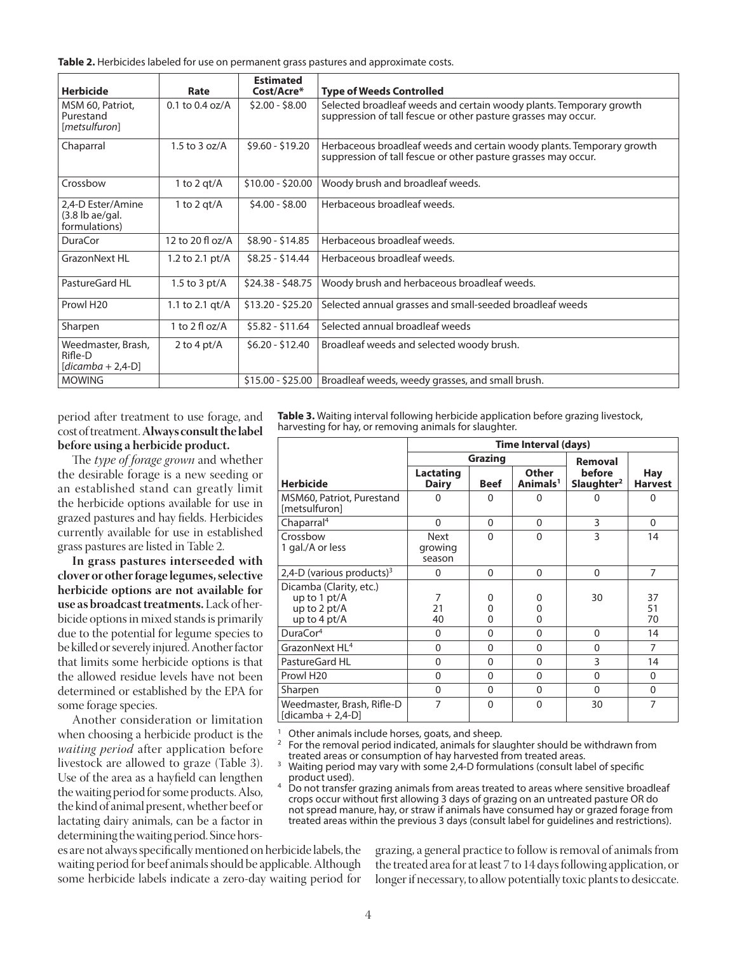**Table 2.** Herbicides labeled for use on permanent grass pastures and approximate costs.

| <b>Herbicide</b>                                                  | Rate                | <b>Estimated</b><br>Cost/Acre* | <b>Type of Weeds Controlled</b>                                                                                                         |
|-------------------------------------------------------------------|---------------------|--------------------------------|-----------------------------------------------------------------------------------------------------------------------------------------|
| MSM 60, Patriot,<br>Purestand<br>[metsulfuron]                    | $0.1$ to $0.4$ oz/A | $$2.00 - $8.00$                | Selected broadleaf weeds and certain woody plants. Temporary growth<br>suppression of tall fescue or other pasture grasses may occur.   |
| Chaparral<br>1.5 to 3 oz/ $A$                                     |                     | $$9.60 - $19.20$               | Herbaceous broadleaf weeds and certain woody plants. Temporary growth<br>suppression of tall fescue or other pasture grasses may occur. |
| Crossbow                                                          | 1 to 2 $qt/A$       | $$10.00 - $20.00$              | Woody brush and broadleaf weeds.                                                                                                        |
| 2,4-D Ester/Amine<br>$(3.8$ lb ae/gal.<br>formulations)           | 1 to 2 $qt/A$       | \$4.00 - \$8.00                | Herbaceous broadleaf weeds.                                                                                                             |
| <b>DuraCor</b>                                                    | 12 to 20 fl $oz/A$  | \$8.90 - \$14.85               | Herbaceous broadleaf weeds.                                                                                                             |
| <b>GrazonNext HL</b>                                              | 1.2 to 2.1 pt/A     | $$8.25 - $14.44$               | Herbaceous broadleaf weeds.                                                                                                             |
| PastureGard HL                                                    | 1.5 to 3 pt/ $A$    | \$24.38 - \$48.75              | Woody brush and herbaceous broadleaf weeds.                                                                                             |
| Prowl H <sub>20</sub>                                             | 1.1 to 2.1 $qt/A$   | $$13.20 - $25.20$              | Selected annual grasses and small-seeded broadleaf weeds                                                                                |
| Sharpen                                                           | 1 to 2 fl oz/ $A$   | $$5.82 - $11.64$               | Selected annual broadleaf weeds                                                                                                         |
| Weedmaster, Brash,<br>Rifle-D<br>$\left[ dicamba + 2,4-D \right]$ | 2 to 4 pt/ $A$      | $$6.20 - $12.40$               | Broadleaf weeds and selected woody brush.                                                                                               |
| <b>MOWING</b>                                                     |                     | $$15.00 - $25.00$              | Broadleaf weeds, weedy grasses, and small brush.                                                                                        |

period after treatment to use forage, and cost of treatment. **Always consult the label before using a herbicide product.**

The *type of forage grown* and whether the desirable forage is a new seeding or an established stand can greatly limit the herbicide options available for use in grazed pastures and hay fields. Herbicides currently available for use in established grass pastures are listed in Table 2.

**In grass pastures interseeded with clover or other forage legumes, selective herbicide options are not available for use as broadcast treatments.** Lack of herbicide options in mixed stands is primarily due to the potential for legume species to be killed or severely injured. Another factor that limits some herbicide options is that the allowed residue levels have not been determined or established by the EPA for some forage species.

Another consideration or limitation when choosing a herbicide product is the *waiting period* after application before livestock are allowed to graze (Table 3). Use of the area as a hayfield can lengthen the waiting period for some products. Also, the kind of animal present, whether beef or lactating dairy animals, can be a factor in determining the waiting period. Since hors-

es are not always specifically mentioned on herbicide labels, the waiting period for beef animals should be applicable. Although some herbicide labels indicate a zero-day waiting period for

**Table 3.** Waiting interval following herbicide application before grazing livestock, harvesting for hay, or removing animals for slaughter.

|                                                                         | <b>Time Interval (days)</b>      |                    |                                  |                                  |                              |  |  |  |  |
|-------------------------------------------------------------------------|----------------------------------|--------------------|----------------------------------|----------------------------------|------------------------------|--|--|--|--|
|                                                                         |                                  | <b>Grazing</b>     | Removal                          |                                  |                              |  |  |  |  |
| <b>Herbicide</b>                                                        | Lactating<br><b>Dairy</b>        | <b>Beef</b>        | Other<br>Animals <sup>1</sup>    | before<br>Slaughter <sup>2</sup> | <b>Hay</b><br><b>Harvest</b> |  |  |  |  |
| MSM60, Patriot, Purestand<br>[metsulfuron]                              | 0                                | $\Omega$           | $\Omega$                         | 0                                | 0                            |  |  |  |  |
| Chaparral <sup>4</sup>                                                  | $\Omega$                         | $\Omega$           | $\Omega$                         | 3                                | $\Omega$                     |  |  |  |  |
| Crossbow<br>1 gal./A or less                                            | <b>Next</b><br>growing<br>season | $\Omega$           | $\Omega$                         | 3                                | 14                           |  |  |  |  |
| 2,4-D (various products) <sup>3</sup>                                   | 0                                | $\Omega$           | $\Omega$                         | $\Omega$                         | 7                            |  |  |  |  |
| Dicamba (Clarity, etc.)<br>up to 1 pt/A<br>up to 2 pt/A<br>up to 4 pt/A | 7<br>21<br>40                    | n<br>n<br>$\Omega$ | $\Omega$<br>$\Omega$<br>$\Omega$ | 30                               | 37<br>51<br>70               |  |  |  |  |
| DuraCor <sup>4</sup>                                                    | $\Omega$                         | $\mathbf{0}$       | 0                                | $\Omega$                         | 14                           |  |  |  |  |
| GrazonNext HL <sup>4</sup>                                              | 0                                | $\Omega$           | $\Omega$                         | $\Omega$                         | 7                            |  |  |  |  |
| PastureGard HL                                                          | 0                                | $\Omega$           | $\Omega$                         | 3                                | 14                           |  |  |  |  |
| Prowl H20                                                               | 0                                | $\Omega$           | $\Omega$                         | $\Omega$                         | 0                            |  |  |  |  |
| Sharpen                                                                 | $\Omega$                         | $\Omega$           | $\Omega$                         | $\Omega$                         | 0                            |  |  |  |  |
| Weedmaster, Brash, Rifle-D<br>$\left[$ dicamba + 2,4-D $\right]$        | 7                                | $\Omega$           | $\Omega$                         | 30                               | 7                            |  |  |  |  |

Other animals include horses, goats, and sheep.<br>
For the removal period indicated, animals for slaughter should be withdrawn from<br>
treated areas or consumption of hay harvested from treated areas.

Waiting period may vary with some 2,4-D formulations (consult label of specific

product used).<br>Do not transfer grazing animals from areas treated to areas where sensitive broadleaf crops occur without first allowing 3 days of grazing on an untreated pasture OR do not spread manure, hay, or straw if animals have consumed hay or grazed forage from treated areas within the previous 3 days (consult label for guidelines and restrictions).

> grazing, a general practice to follow is removal of animals from the treated area for at least 7 to 14 days following application, or longer if necessary, to allow potentially toxic plants to desiccate.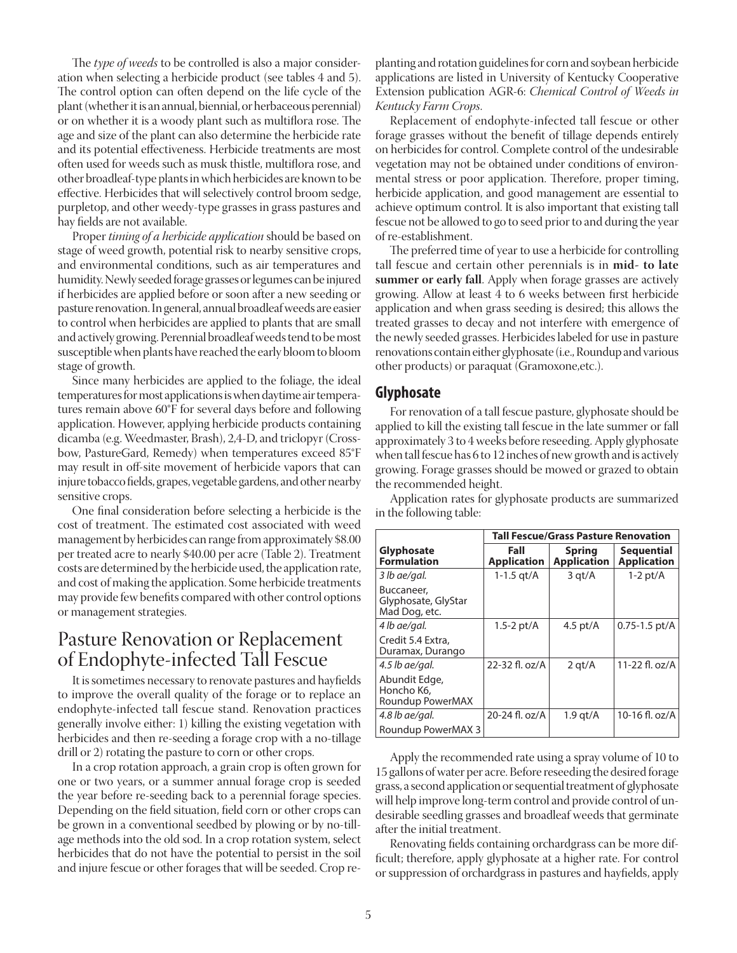The *type of weeds* to be controlled is also a major consideration when selecting a herbicide product (see tables 4 and 5). The control option can often depend on the life cycle of the plant (whether it is an annual, biennial, or herbaceous perennial) or on whether it is a woody plant such as multiflora rose. The age and size of the plant can also determine the herbicide rate and its potential effectiveness. Herbicide treatments are most often used for weeds such as musk thistle, multiflora rose, and other broadleaf-type plants in which herbicides are known to be effective. Herbicides that will selectively control broom sedge, purpletop, and other weedy-type grasses in grass pastures and hay fields are not available.

Proper *timing of a herbicide application* should be based on stage of weed growth, potential risk to nearby sensitive crops, and environmental conditions, such as air temperatures and humidity. Newly seeded forage grasses or legumes can be injured if herbicides are applied before or soon after a new seeding or pasture renovation. In general, annual broadleaf weeds are easier to control when herbicides are applied to plants that are small and actively growing. Perennial broadleaf weeds tend to be most susceptible when plants have reached the early bloom to bloom stage of growth.

Since many herbicides are applied to the foliage, the ideal temperatures for most applications is when daytime air temperatures remain above 60°F for several days before and following application. However, applying herbicide products containing dicamba (e.g. Weedmaster, Brash), 2,4-D, and triclopyr (Crossbow, PastureGard, Remedy) when temperatures exceed 85°F may result in off-site movement of herbicide vapors that can injure tobacco fields, grapes, vegetable gardens, and other nearby sensitive crops.

One final consideration before selecting a herbicide is the cost of treatment. The estimated cost associated with weed management by herbicides can range from approximately \$8.00 per treated acre to nearly \$40.00 per acre (Table 2). Treatment costs are determined by the herbicide used, the application rate, and cost of making the application. Some herbicide treatments may provide few benefits compared with other control options or management strategies.

## Pasture Renovation or Replacement of Endophyte-infected Tall Fescue

It is sometimes necessary to renovate pastures and hayfields to improve the overall quality of the forage or to replace an endophyte-infected tall fescue stand. Renovation practices generally involve either: 1) killing the existing vegetation with herbicides and then re-seeding a forage crop with a no-tillage drill or 2) rotating the pasture to corn or other crops.

In a crop rotation approach, a grain crop is often grown for one or two years, or a summer annual forage crop is seeded the year before re-seeding back to a perennial forage species. Depending on the field situation, field corn or other crops can be grown in a conventional seedbed by plowing or by no-tillage methods into the old sod. In a crop rotation system, select herbicides that do not have the potential to persist in the soil and injure fescue or other forages that will be seeded. Crop re-

planting and rotation guidelines for corn and soybean herbicide applications are listed in University of Kentucky Cooperative Extension publication AGR-6: *Chemical Control of Weeds in Kentucky Farm Crops*.

Replacement of endophyte-infected tall fescue or other forage grasses without the benefit of tillage depends entirely on herbicides for control. Complete control of the undesirable vegetation may not be obtained under conditions of environmental stress or poor application. Therefore, proper timing, herbicide application, and good management are essential to achieve optimum control. It is also important that existing tall fescue not be allowed to go to seed prior to and during the year of re-establishment.

The preferred time of year to use a herbicide for controlling tall fescue and certain other perennials is in **mid- to late summer or early fall**. Apply when forage grasses are actively growing. Allow at least 4 to 6 weeks between first herbicide application and when grass seeding is desired; this allows the treated grasses to decay and not interfere with emergence of the newly seeded grasses. Herbicides labeled for use in pasture renovations contain either glyphosate (i.e., Roundup and various other products) or paraquat (Gramoxone,etc.).

#### **Glyphosate**

For renovation of a tall fescue pasture, glyphosate should be applied to kill the existing tall fescue in the late summer or fall approximately 3 to 4 weeks before reseeding. Apply glyphosate when tall fescue has 6 to 12 inches of new growth and is actively growing. Forage grasses should be mowed or grazed to obtain the recommended height.

Application rates for glyphosate products are summarized in the following table:

|                                                    | <b>Tall Fescue/Grass Pasture Renovation</b> |                                     |                                         |  |  |  |  |  |  |
|----------------------------------------------------|---------------------------------------------|-------------------------------------|-----------------------------------------|--|--|--|--|--|--|
| <b>Glyphosate</b><br><b>Formulation</b>            | Fall<br><b>Application</b>                  | <b>Spring</b><br><b>Application</b> | <b>Sequential</b><br><b>Application</b> |  |  |  |  |  |  |
| 3 lb ae/gal.                                       | $1 - 1.5$ gt/A                              | 3 qt/A                              | $1-2$ pt/ $A$                           |  |  |  |  |  |  |
| Buccaneer.<br>Glyphosate, GlyStar<br>Mad Dog, etc. |                                             |                                     |                                         |  |  |  |  |  |  |
| 4 lb ae/gal.                                       | $1.5-2$ pt/A                                | 4.5 pt/ $A$                         | $0.75 - 1.5$ pt/A                       |  |  |  |  |  |  |
| Credit 5.4 Extra.<br>Duramax, Durango              |                                             |                                     |                                         |  |  |  |  |  |  |
| 4.5 lb ae/gal.                                     | 22-32 fl. oz/A                              | $2$ qt/ $A$                         | 11-22 fl. oz/ $A$                       |  |  |  |  |  |  |
| Abundit Edge,<br>Honcho K6,<br>Roundup PowerMAX    |                                             |                                     |                                         |  |  |  |  |  |  |
| 4.8 lb ae/gal.                                     | 20-24 fl. oz/A                              | $1.9$ qt/A                          | 10-16 fl. oz/A                          |  |  |  |  |  |  |
| Roundup PowerMAX 3                                 |                                             |                                     |                                         |  |  |  |  |  |  |

Apply the recommended rate using a spray volume of 10 to 15 gallons of water per acre. Before reseeding the desired forage grass, a second application or sequential treatment of glyphosate will help improve long-term control and provide control of undesirable seedling grasses and broadleaf weeds that germinate after the initial treatment.

Renovating fields containing orchardgrass can be more difficult; therefore, apply glyphosate at a higher rate. For control or suppression of orchardgrass in pastures and hayfields, apply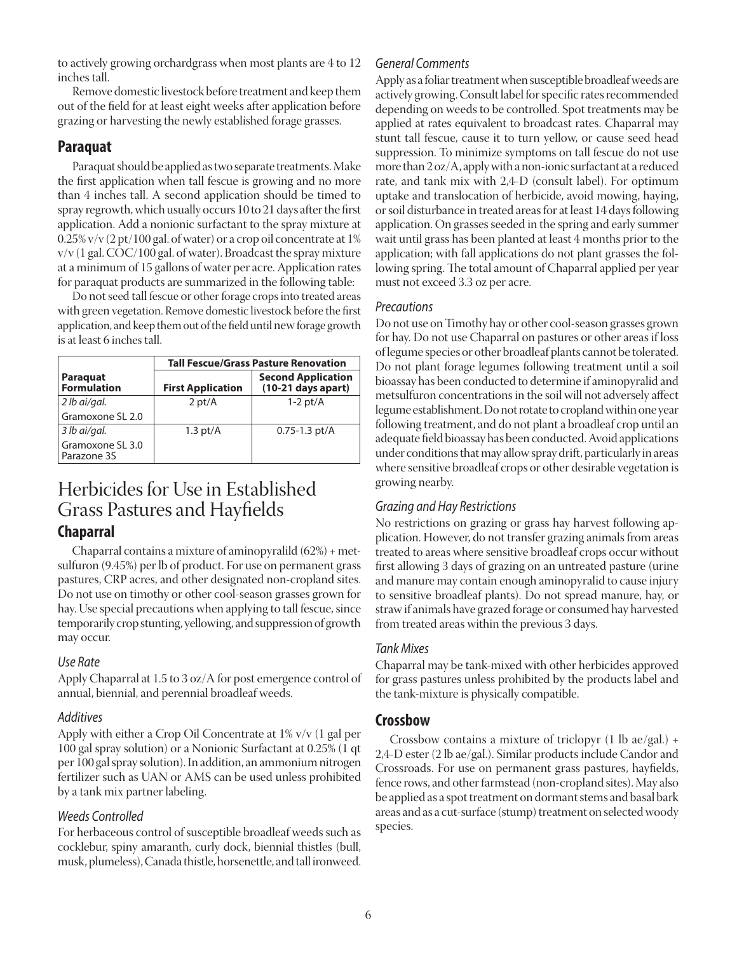to actively growing orchardgrass when most plants are 4 to 12 inches tall.

Remove domestic livestock before treatment and keep them out of the field for at least eight weeks after application before grazing or harvesting the newly established forage grasses.

### **Paraquat**

Paraquat should be applied as two separate treatments. Make the first application when tall fescue is growing and no more than 4 inches tall. A second application should be timed to spray regrowth, which usually occurs 10 to 21 days after the first application. Add a nonionic surfactant to the spray mixture at 0.25% v/v (2 pt/100 gal. of water) or a crop oil concentrate at 1%  $v/v$  (1 gal. COC/100 gal. of water). Broadcast the spray mixture at a minimum of 15 gallons of water per acre. Application rates for paraquat products are summarized in the following table:

Do not seed tall fescue or other forage crops into treated areas with green vegetation. Remove domestic livestock before the first application, and keep them out of the field until new forage growth is at least 6 inches tall.

|                                 | <b>Tall Fescue/Grass Pasture Renovation</b> |                                                           |  |  |  |  |  |  |  |
|---------------------------------|---------------------------------------------|-----------------------------------------------------------|--|--|--|--|--|--|--|
| Paraquat<br><b>Formulation</b>  | <b>First Application</b>                    | <b>Second Application</b><br>$(10-21 \text{ days apart})$ |  |  |  |  |  |  |  |
| $2$ lb ai/gal.                  | 2 pt/A                                      | $1-2$ pt/A                                                |  |  |  |  |  |  |  |
| Gramoxone SL 2.0                |                                             |                                                           |  |  |  |  |  |  |  |
| 3 lb ai/gal.                    | $1.3 \text{ pt/A}$                          | $0.75 - 1.3$ pt/A                                         |  |  |  |  |  |  |  |
| Gramoxone SL 3.0<br>Parazone 3S |                                             |                                                           |  |  |  |  |  |  |  |

# Herbicides for Use in Established Grass Pastures and Hayfields

### **Chaparral**

Chaparral contains a mixture of aminopyralild (62%) + metsulfuron (9.45%) per lb of product. For use on permanent grass pastures, CRP acres, and other designated non-cropland sites. Do not use on timothy or other cool-season grasses grown for hay. Use special precautions when applying to tall fescue, since temporarily crop stunting, yellowing, and suppression of growth may occur.

### *Use Rate*

Apply Chaparral at 1.5 to 3 oz/A for post emergence control of annual, biennial, and perennial broadleaf weeds.

### *Additives*

Apply with either a Crop Oil Concentrate at 1% v/v (1 gal per 100 gal spray solution) or a Nonionic Surfactant at 0.25% (1 qt per 100 gal spray solution). In addition, an ammonium nitrogen fertilizer such as UAN or AMS can be used unless prohibited by a tank mix partner labeling.

### *Weeds Controlled*

For herbaceous control of susceptible broadleaf weeds such as cocklebur, spiny amaranth, curly dock, biennial thistles (bull, musk, plumeless), Canada thistle, horsenettle, and tall ironweed.

### *General Comments*

Apply as a foliar treatment when susceptible broadleaf weeds are actively growing. Consult label for specific rates recommended depending on weeds to be controlled. Spot treatments may be applied at rates equivalent to broadcast rates. Chaparral may stunt tall fescue, cause it to turn yellow, or cause seed head suppression. To minimize symptoms on tall fescue do not use more than 2 oz/A, apply with a non-ionic surfactant at a reduced rate, and tank mix with 2,4-D (consult label). For optimum uptake and translocation of herbicide, avoid mowing, haying, or soil disturbance in treated areas for at least 14 days following application. On grasses seeded in the spring and early summer wait until grass has been planted at least 4 months prior to the application; with fall applications do not plant grasses the following spring. The total amount of Chaparral applied per year must not exceed 3.3 oz per acre.

### *Precautions*

Do not use on Timothy hay or other cool-season grasses grown for hay. Do not use Chaparral on pastures or other areas if loss of legume species or other broadleaf plants cannot be tolerated. Do not plant forage legumes following treatment until a soil bioassay has been conducted to determine if aminopyralid and metsulfuron concentrations in the soil will not adversely affect legume establishment. Do not rotate to cropland within one year following treatment, and do not plant a broadleaf crop until an adequate field bioassay has been conducted. Avoid applications under conditions that may allow spray drift, particularly in areas where sensitive broadleaf crops or other desirable vegetation is growing nearby.

### *Grazing and Hay Restrictions*

No restrictions on grazing or grass hay harvest following application. However, do not transfer grazing animals from areas treated to areas where sensitive broadleaf crops occur without first allowing 3 days of grazing on an untreated pasture (urine and manure may contain enough aminopyralid to cause injury to sensitive broadleaf plants). Do not spread manure, hay, or straw if animals have grazed forage or consumed hay harvested from treated areas within the previous 3 days.

### *Tank Mixes*

Chaparral may be tank-mixed with other herbicides approved for grass pastures unless prohibited by the products label and the tank-mixture is physically compatible.

### **Crossbow**

Crossbow contains a mixture of triclopyr  $(1 \text{ lb } ae/gal.)$  + 2,4-D ester (2 lb ae/gal.). Similar products include Candor and Crossroads. For use on permanent grass pastures, hayfields, fence rows, and other farmstead (non-cropland sites). May also be applied as a spot treatment on dormant stems and basal bark areas and as a cut-surface (stump) treatment on selected woody species.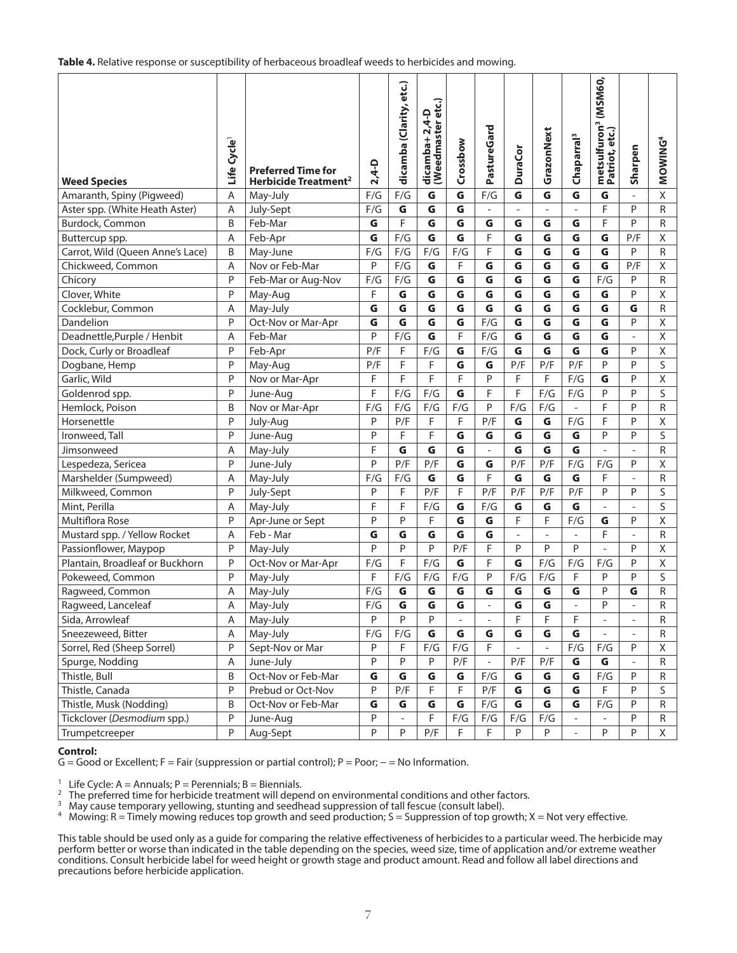| <b>Weed Species</b>                                      | Life Cycle <sup>1</sup> | <b>Preferred Time for</b><br>Herbicide Treatment <sup>2</sup> | $2,4-D$        | dicamba (Clarity, etc.) | etc.)<br>$2,4 - D$<br>(Weedmaster<br>dicamba+ | Crossbow                 | PastureGard              | <b>DuraCor</b>      | GrazonNext          | Chaparral <sup>3</sup>   | metsulfuron <sup>3</sup> (MSM60,<br>Patriot, etc.) | Sharpen                  | <b>MOWING</b> <sup>4</sup> |
|----------------------------------------------------------|-------------------------|---------------------------------------------------------------|----------------|-------------------------|-----------------------------------------------|--------------------------|--------------------------|---------------------|---------------------|--------------------------|----------------------------------------------------|--------------------------|----------------------------|
| Amaranth, Spiny (Pigweed)                                | A                       | May-July                                                      | F/G            | F/G                     | G                                             | G                        | F/G                      | G                   | G                   | G                        | G                                                  |                          | Χ                          |
| Aster spp. (White Heath Aster)                           | Α                       | July-Sept                                                     | F/G            | G                       | G                                             | G                        | $\overline{\phantom{a}}$ |                     | $\overline{a}$      | $\overline{\phantom{a}}$ | F                                                  | P                        | R                          |
| Burdock, Common                                          | B                       | Feb-Mar                                                       | G              | F                       | G                                             | G                        | G                        | G                   | G                   | G                        | $\overline{F}$                                     | P                        | R                          |
| Buttercup spp.                                           | A                       | Feb-Apr                                                       | G              | F/G                     | G                                             | G                        | F                        | G                   | G                   | G                        | $\overline{\mathsf{G}}$                            | P/F                      | X                          |
| Carrot, Wild (Queen Anne's Lace)                         | B                       | May-June                                                      | F/G            | F/G                     | F/G                                           | F/G                      | F                        | G                   | G                   | G                        | G                                                  | P                        | R                          |
| Chickweed, Common                                        | A                       | Nov or Feb-Mar                                                | P              | F/G                     | G                                             | F                        | G                        | G                   | G                   | G                        | G                                                  | P/F                      | X                          |
| Chicory                                                  | P                       | Feb-Mar or Aug-Nov                                            | F/G            | F/G                     | G                                             | G                        | G                        | G                   | G                   | G                        | F/G                                                | P                        | R                          |
| Clover, White                                            | P                       | May-Aug                                                       | F              | G                       | G                                             | G                        | G                        | G                   | G                   | G                        | G                                                  | P                        | Χ                          |
| Cocklebur, Common                                        | A                       | May-July                                                      | G              | G                       | G                                             | G                        | G                        | G                   | G                   | G                        | G                                                  | G                        | R                          |
| Dandelion                                                | P                       | Oct-Nov or Mar-Apr                                            | G              | G                       | G                                             | G                        | F/G                      | G                   | G                   | G                        | G                                                  | P                        | Χ                          |
| Deadnettle, Purple / Henbit                              | Α                       | Feb-Mar                                                       | $\mathsf{P}$   | F/G                     | G                                             | F                        | F/G                      | G                   | G                   | G                        | G                                                  | $\overline{\phantom{0}}$ | Χ                          |
| Dock, Curly or Broadleaf                                 | P                       | Feb-Apr                                                       | P/F            | F                       | F/G                                           | G                        | F/G                      | G                   | G                   | G                        | G                                                  | P                        | Χ                          |
| Dogbane, Hemp                                            | $\mathsf{P}$            | May-Aug                                                       | P/F            | F                       | F                                             | G                        | G                        | P/F                 | P/F                 | P/F                      | P                                                  | P                        | S                          |
| Garlic, Wild                                             | P                       | Nov or Mar-Apr                                                | F              | F                       | F                                             | F                        | P                        | F                   | F                   | F/G                      | G                                                  | P                        | Χ                          |
| Goldenrod spp.                                           | ${\sf P}$               | June-Aug                                                      | $\overline{F}$ | F/G                     | F/G                                           | G                        | F                        | F                   | F/G                 | F/G                      | P                                                  | P                        | S                          |
| Hemlock, Poison                                          | B                       | Nov or Mar-Apr                                                | F/G            | F/G                     | F/G                                           | F/G                      | P                        | F/G                 | F/G                 | $\overline{\phantom{0}}$ | F                                                  | P                        | R                          |
| Horsenettle                                              | P                       | July-Aug                                                      | P              | P/F                     | F                                             | F                        | P/F                      | G                   | G                   | F/G                      | F                                                  | P                        | Χ                          |
| Ironweed, Tall                                           | P                       | June-Aug                                                      | P              | F                       | F                                             | G                        | G                        | G                   | G                   | G                        | P                                                  | P                        | S                          |
| Jimsonweed                                               | A                       | May-July                                                      | F              | G                       | G                                             | G                        | $\overline{\phantom{a}}$ | G                   | G                   | G                        | $\overline{\phantom{0}}$                           | $\overline{\phantom{0}}$ | R                          |
| Lespedeza, Sericea                                       | P                       | June-July                                                     | P              | P/F                     | P/F                                           | G                        | G                        | P/F                 | P/F                 | F/G                      | F/G                                                | P                        | Χ                          |
| Marshelder (Sumpweed)                                    | A                       | May-July                                                      | F/G            | F/G                     | G                                             | G                        | F                        | G                   | G                   | G                        | F                                                  | $\overline{a}$           | R                          |
| Milkweed, Common                                         | P                       | July-Sept                                                     | P              | F                       | P/F                                           | F                        | P/F                      | P/F                 | P/F                 | P/F                      | P                                                  | P                        | S                          |
| Mint, Perilla                                            | Α                       | May-July                                                      | F              | F                       | F/G                                           | G                        | F/G                      | G                   | G                   | G                        | $\overline{\phantom{a}}$                           |                          | S                          |
| Multiflora Rose                                          | P                       | Apr-June or Sept                                              | P              | P                       | F<br>$\overline{\mathsf{G}}$                  | G                        | G                        | F                   | F                   | F/G                      | G                                                  | P                        | Χ                          |
| Mustard spp. / Yellow Rocket                             | A<br>P                  | Feb - Mar                                                     | G<br>P         | G<br>P                  | P                                             | G<br>P/F                 | G<br>F                   | $\overline{a}$<br>P | $\overline{a}$<br>P | $\overline{a}$<br>P      | F                                                  | P                        | R                          |
| Passionflower, Maypop<br>Plantain, Broadleaf or Buckhorn | ${\sf P}$               | May-July<br>Oct-Nov or Mar-Apr                                | F/G            | F                       | F/G                                           | G                        | F                        | G                   | F/G                 | F/G                      | $\overline{\phantom{0}}$<br>F/G                    | P                        | Χ<br>Χ                     |
| Pokeweed, Common                                         | ${\sf P}$               | May-July                                                      | F              | F/G                     | F/G                                           | F/G                      | P                        | F/G                 | F/G                 | F                        | P                                                  | P                        | S                          |
| Ragweed, Common                                          | Α                       | May-July                                                      | F/G            | G                       | G                                             | G                        | G                        | G                   | G                   | G                        | P                                                  | G                        | R                          |
| Ragweed, Lanceleaf                                       | A                       | May-July                                                      | F/G            | G                       | G                                             | G                        | $\overline{\phantom{a}}$ | G                   | G                   | $\overline{a}$           | P                                                  | $\overline{a}$           | R                          |
| Sida, Arrowleaf                                          | Α                       | May-July                                                      | P              | P                       | P                                             | $\overline{\phantom{a}}$ | $\overline{\phantom{a}}$ | F                   | F.                  | F                        | $\overline{\phantom{a}}$                           | $\overline{\phantom{a}}$ | R                          |
| Sneezeweed, Bitter                                       | A                       | May-July                                                      | F/G            | F/G                     | $\mathsf G$                                   | G                        | G                        | G                   | G                   | G                        |                                                    |                          | R                          |
| Sorrel, Red (Sheep Sorrel)                               | P                       | Sept-Nov or Mar                                               | ${\sf P}$      | F                       | F/G                                           | F/G                      | F                        |                     |                     | F/G                      | F/G                                                | P                        | X                          |
| Spurge, Nodding                                          | A                       | June-July                                                     | $\overline{P}$ | P                       | P                                             | P/F                      | $\overline{\phantom{a}}$ | P/F                 | P/F                 | G                        | G                                                  |                          | R                          |
| Thistle, Bull                                            | B                       | Oct-Nov or Feb-Mar                                            | $\mathsf G$    | G                       | $\mathsf G$                                   | G                        | F/G                      | G                   | G                   | G                        | F/G                                                | P                        | R                          |
| Thistle, Canada                                          | ${\sf P}$               | Prebud or Oct-Nov                                             | P              | P/F                     | F                                             | F                        | P/F                      | G                   | G                   | G                        | F                                                  | P                        | S                          |
| Thistle, Musk (Nodding)                                  | B                       | Oct-Nov or Feb-Mar                                            | G              | G                       | $\mathsf G$                                   | $\mathsf G$              | F/G                      | G                   | G                   | G                        | F/G                                                | P                        | $\mathsf{R}$               |
| Tickclover (Desmodium spp.)                              | P                       | June-Aug                                                      | P              |                         | F                                             | F/G                      | F/G                      | F/G                 | F/G                 |                          | $\overline{\phantom{a}}$                           | P                        | R                          |
| Trumpetcreeper                                           | P                       | Aug-Sept                                                      | $\overline{P}$ | P                       | P/F                                           | F                        | F                        | P                   | P                   | $\overline{a}$           | $\overline{P}$                                     | P                        | X                          |
|                                                          |                         |                                                               |                |                         |                                               |                          |                          |                     |                     |                          |                                                    |                          |                            |

#### **Control:**

G = Good or Excellent; F = Fair (suppression or partial control); P = Poor; – = No Information.

<sup>1</sup> Life Cycle: A = Annuals; P = Perennials; B = Biennials.<br><sup>2</sup> The preferred time for herbicide treatment will depend on environmental conditions and other factors.<br><sup>3</sup> May cause temporary yellowing, stunting and seedhea

This table should be used only as a guide for comparing the relative effectiveness of herbicides to a particular weed. The herbicide may perform better or worse than indicated in the table depending on the species, weed size, time of application and/or extreme weather conditions. Consult herbicide label for weed height or growth stage and product amount. Read and follow all label directions and precautions before herbicide application.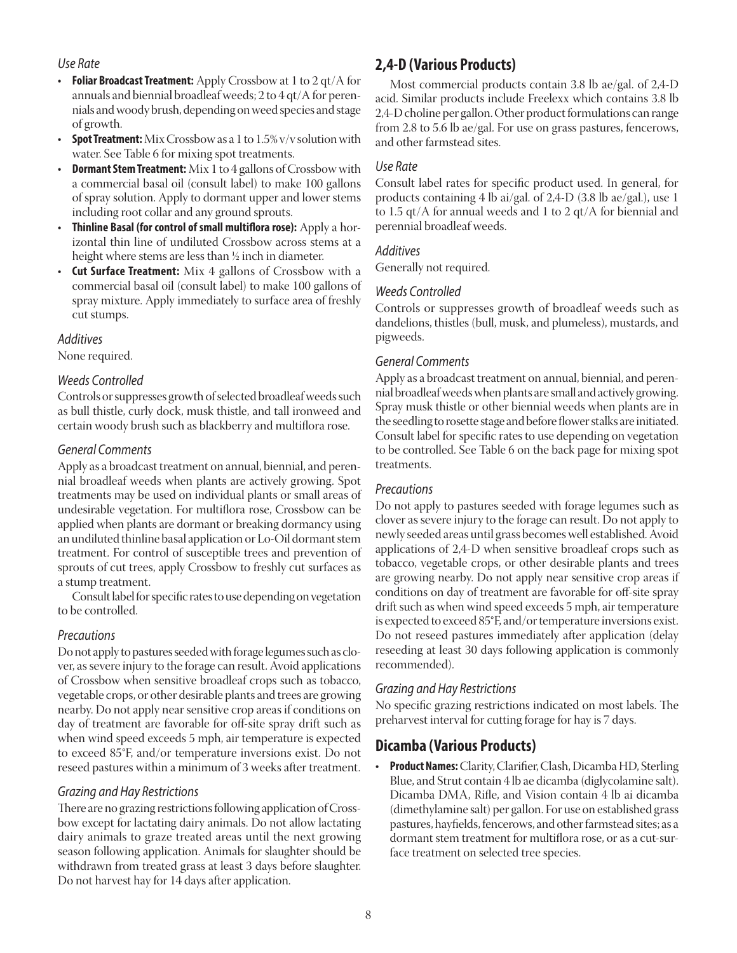### *Use Rate*

- **• Foliar Broadcast Treatment:** Apply Crossbow at 1 to 2 qt/A for annuals and biennial broadleaf weeds; 2 to 4 qt/A for perennials and woody brush, depending on weed species and stage of growth.
- **• Spot Treatment:** Mix Crossbow as a 1 to 1.5% v/v solution with water. See Table 6 for mixing spot treatments.
- **• Dormant Stem Treatment:** Mix 1 to 4 gallons of Crossbow with a commercial basal oil (consult label) to make 100 gallons of spray solution. Apply to dormant upper and lower stems including root collar and any ground sprouts.
- **• Thinline Basal (for control of small multiflora rose):** Apply a horizontal thin line of undiluted Crossbow across stems at a height where stems are less than ½ inch in diameter.
- **• Cut Surface Treatment:** Mix 4 gallons of Crossbow with a commercial basal oil (consult label) to make 100 gallons of spray mixture. Apply immediately to surface area of freshly cut stumps.

### *Additives*

None required.

### *Weeds Controlled*

Controls or suppresses growth of selected broadleaf weeds such as bull thistle, curly dock, musk thistle, and tall ironweed and certain woody brush such as blackberry and multiflora rose.

### *General Comments*

Apply as a broadcast treatment on annual, biennial, and perennial broadleaf weeds when plants are actively growing. Spot treatments may be used on individual plants or small areas of undesirable vegetation. For multiflora rose, Crossbow can be applied when plants are dormant or breaking dormancy using an undiluted thinline basal application or Lo-Oil dormant stem treatment. For control of susceptible trees and prevention of sprouts of cut trees, apply Crossbow to freshly cut surfaces as a stump treatment.

Consult label for specific rates to use depending on vegetation to be controlled.

### *Precautions*

Do not apply to pastures seeded with forage legumes such as clover, as severe injury to the forage can result. Avoid applications of Crossbow when sensitive broadleaf crops such as tobacco, vegetable crops, or other desirable plants and trees are growing nearby. Do not apply near sensitive crop areas if conditions on day of treatment are favorable for off-site spray drift such as when wind speed exceeds 5 mph, air temperature is expected to exceed 85°F, and/or temperature inversions exist. Do not reseed pastures within a minimum of 3 weeks after treatment.

### *Grazing and Hay Restrictions*

There are no grazing restrictions following application of Crossbow except for lactating dairy animals. Do not allow lactating dairy animals to graze treated areas until the next growing season following application. Animals for slaughter should be withdrawn from treated grass at least 3 days before slaughter. Do not harvest hay for 14 days after application.

## **2,4-D (Various Products)**

Most commercial products contain 3.8 lb ae/gal. of 2,4-D acid. Similar products include Freelexx which contains 3.8 lb 2,4-D choline per gallon. Other product formulations can range from 2.8 to 5.6 lb ae/gal. For use on grass pastures, fencerows, and other farmstead sites.

### *Use Rate*

Consult label rates for specific product used. In general, for products containing 4 lb ai/gal. of 2,4-D (3.8 lb ae/gal.), use 1 to 1.5 qt/A for annual weeds and 1 to 2 qt/A for biennial and perennial broadleaf weeds.

### *Additives*

Generally not required.

### *Weeds Controlled*

Controls or suppresses growth of broadleaf weeds such as dandelions, thistles (bull, musk, and plumeless), mustards, and pigweeds.

### *General Comments*

Apply as a broadcast treatment on annual, biennial, and perennial broadleaf weeds when plants are small and actively growing. Spray musk thistle or other biennial weeds when plants are in the seedling to rosette stage and before flower stalks are initiated. Consult label for specific rates to use depending on vegetation to be controlled. See Table 6 on the back page for mixing spot treatments.

### *Precautions*

Do not apply to pastures seeded with forage legumes such as clover as severe injury to the forage can result. Do not apply to newly seeded areas until grass becomes well established. Avoid applications of 2,4-D when sensitive broadleaf crops such as tobacco, vegetable crops, or other desirable plants and trees are growing nearby. Do not apply near sensitive crop areas if conditions on day of treatment are favorable for off-site spray drift such as when wind speed exceeds 5 mph, air temperature is expected to exceed 85°F, and/or temperature inversions exist. Do not reseed pastures immediately after application (delay reseeding at least 30 days following application is commonly recommended).

### *Grazing and Hay Restrictions*

No specific grazing restrictions indicated on most labels. The preharvest interval for cutting forage for hay is 7 days.

### **Dicamba (Various Products)**

**• Product Names:** Clarity, Clarifier, Clash, Dicamba HD, Sterling Blue, and Strut contain 4 lb ae dicamba (diglycolamine salt). Dicamba DMA, Rifle, and Vision contain 4 lb ai dicamba (dimethylamine salt) per gallon. For use on established grass pastures, hayfields, fencerows, and other farmstead sites; as a dormant stem treatment for multiflora rose, or as a cut-surface treatment on selected tree species.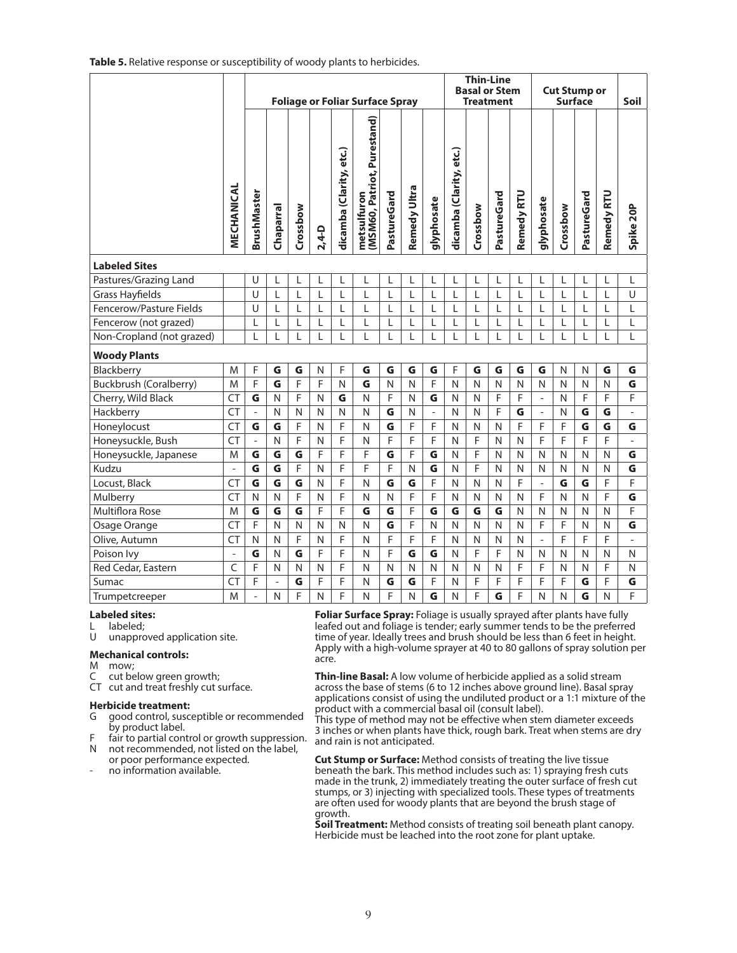| Table 5. Relative response or susceptibility of woody plants to herbicides. |  |  |
|-----------------------------------------------------------------------------|--|--|
|-----------------------------------------------------------------------------|--|--|

|                               |                          | <b>Foliage or Foliar Surface Spray</b> |                |                         |                | <b>Thin-Line</b><br><b>Basal or Stem</b><br>Treatment |                                            |                         |              | <b>Cut Stump or</b>      | Soil                    |                |                |              |                |          |             |            |                          |
|-------------------------------|--------------------------|----------------------------------------|----------------|-------------------------|----------------|-------------------------------------------------------|--------------------------------------------|-------------------------|--------------|--------------------------|-------------------------|----------------|----------------|--------------|----------------|----------|-------------|------------|--------------------------|
|                               | MECHANICAL               | <b>BrushMaster</b>                     | Chaparral      | Crossbow                | $2,4-D$        | dicamba (Clarity, etc.)                               | (MSM60, Patriot, Purestand)<br>metsulfuron | PastureGard             | Remedy Ultra | glyphosate               | dicamba (Clarity, etc.) | Crossbow       | PastureGard    | Remedy RTU   | glyphosate     | Crossbow | PastureGard | Remedy RTU | Spike 20P                |
| <b>Labeled Sites</b>          |                          |                                        |                |                         |                |                                                       |                                            |                         |              |                          |                         |                |                |              |                |          |             |            |                          |
| Pastures/Grazing Land         |                          | U                                      | L              | L                       | L              | L                                                     | L                                          | L                       | L            | L                        | L                       | L              | L              | L            | L              | L        | L           | L          | L                        |
| <b>Grass Hayfields</b>        |                          | U                                      | L              | L                       | L              | L                                                     | Г                                          | L                       | L            | L                        | L                       | L              | L              | L            | L              | L        | L           | L          | U                        |
| Fencerow/Pasture Fields       |                          | U                                      | L              | L                       | L              | L                                                     | L                                          | L                       | L            | L                        | L                       | L              | L              | L            | L              | L        | L           | L          | L                        |
| Fencerow (not grazed)         |                          | L                                      | L              | L                       | L              | L                                                     | L                                          | L                       | L            | L                        | L                       | L              | L              | L            | L              | L        | L           | L          | L                        |
| Non-Cropland (not grazed)     |                          | L                                      | L              | L                       |                | $\mathbf{I}$                                          | L                                          | L                       | L            | L                        |                         | L              |                | I            | L              | L        | L           | L          | L                        |
| <b>Woody Plants</b>           |                          |                                        |                |                         |                |                                                       |                                            |                         |              |                          |                         |                |                |              |                |          |             |            |                          |
| Blackberry                    | M                        | F                                      | G              | G                       | N              | F                                                     | G                                          | G                       | G            | G                        | F                       | G              | G              | G            | G              | N        | N           | G          | G                        |
| <b>Buckbrush (Coralberry)</b> | M                        | $\overline{F}$                         | G              | F                       | $\overline{F}$ | N                                                     | G                                          | N                       | N            | F                        | N                       | $\mathsf{N}$   | $\mathsf{N}$   | $\mathsf{N}$ | N              | N        | N           | N          | G                        |
| Cherry, Wild Black            | <b>CT</b>                | $\overline{\mathsf{G}}$                | N              | $\overline{F}$          | $\mathsf{N}$   | G                                                     | N                                          | F                       | $\mathsf{N}$ | G                        | N                       | $\mathsf{N}$   | F              | F            | $\overline{a}$ | N        | F           | F          | F                        |
| Hackberry                     | <b>CT</b>                | $\overline{\phantom{a}}$               | N              | $\mathsf{N}$            | N              | $\mathsf{N}$                                          | N                                          | G                       | N            | $\overline{\phantom{0}}$ | N                       | $\mathsf{N}$   | F              | G            | $\overline{a}$ | N        | G           | G          | $\overline{\phantom{a}}$ |
| Honeylocust                   | <b>CT</b>                | G                                      | G              | F                       | N              | F                                                     | N                                          | G                       | F            | F                        | N                       | $\mathsf{N}$   | $\mathsf{N}$   | F            | F              | F        | G           | G          | G                        |
| Honeysuckle, Bush             | <b>CT</b>                | $\overline{\phantom{a}}$               | N              | F                       | N              | F                                                     | N                                          | F                       | F            | F                        | N                       | F              | N              | $\mathsf{N}$ | F              | F        | F           | F          | $\overline{\phantom{a}}$ |
| Honeysuckle, Japanese         | M                        | G                                      | G              | $\overline{\mathsf{G}}$ | F              | F                                                     | F                                          | $\overline{\mathsf{G}}$ | F            | $\overline{\mathsf{G}}$  | N                       | F              | $\mathsf{N}$   | $\mathsf{N}$ | N              | N        | N           | N          | G                        |
| Kudzu                         | $\overline{\phantom{0}}$ | G                                      | G              | $\overline{F}$          | N              | F                                                     | F                                          | F                       | N            | $\overline{\mathsf{G}}$  | N                       | F              | $\mathsf{N}$   | $\mathsf{N}$ | N              | N        | N           | N          | $\overline{\mathsf{G}}$  |
| Locust, Black                 | <b>CT</b>                | G                                      | G              | G                       | N              | F                                                     | N                                          | G                       | G            | F                        | N                       | $\mathsf{N}$   | $\mathsf{N}$   | F            | $\overline{a}$ | G        | G           | F          | F                        |
| Mulberry                      | <b>CT</b>                | N                                      | N              | F                       | N              | F                                                     | N                                          | N                       | F            | F                        | N                       | $\mathsf{N}$   | $\mathsf{N}$   | N            | F              | N        | N           | F          | G                        |
| Multiflora Rose               | M                        | $\overline{\mathsf{G}}$                | G              | G                       | F              | F                                                     | G                                          | G                       | F            | G                        | G                       | G              | G              | $\mathsf{N}$ | N              | N        | N           | N          | F                        |
| Osage Orange                  | <b>CT</b>                | F                                      | $\mathsf{N}$   | N                       | $\mathsf{N}$   | $\mathsf{N}$                                          | N                                          | G                       | F            | N                        | N                       | $\mathsf{N}$   | $\mathsf{N}$   | $\mathsf{N}$ | F              | F        | N           | N          | G                        |
| Olive, Autumn                 | <b>CT</b>                | $\mathsf{N}$                           | $\mathsf{N}$   | $\overline{\mathsf{F}}$ | N              | F                                                     | N                                          | F                       | F            | $\overline{F}$           | N                       | $\mathsf{N}$   | $\mathsf{N}$   | $\mathsf{N}$ | $\overline{a}$ | F        | F           | F          | $\overline{\phantom{0}}$ |
| Poison Ivy                    | $\overline{\phantom{0}}$ | G                                      | $\mathsf{N}$   | G                       | $\overline{F}$ | F                                                     | N                                          | F                       | G            | G                        | N                       | $\overline{F}$ | $\overline{F}$ | $\mathsf{N}$ | N              | N        | N           | N          | $\mathsf{N}$             |
| Red Cedar, Eastern            | C                        | F                                      | $\mathsf{N}$   | N                       | $\mathsf{N}$   | F                                                     | N                                          | N                       | N            | N                        | N                       | $\mathsf{N}$   | $\mathsf{N}$   | F            | F              | N        | N           | F          | N                        |
| Sumac                         | <b>CT</b>                | F                                      | $\overline{a}$ | G                       | F              | F                                                     | N                                          | G                       | G            | F                        | N                       | F              | F              | F            | F              | F        | G           | F          | G                        |
| Trumpetcreeper                | M                        | $\overline{\phantom{0}}$               | N              | F                       | N              | F                                                     | N                                          | F                       | N            | $\overline{\mathsf{G}}$  | N                       | F              | G              | F            | N              | N        | G           | N          | $\overline{F}$           |

#### **Labeled sites:**

labeled; U unapproved application site.

### **Mechanical controls:**

- M mow;
- C cut below green growth;
- CT cut and treat freshly cut surface.

#### **Herbicide treatment:**

- G good control, susceptible or recommended by product label.
- F fair to partial control or growth suppression.<br>N not recommended, not listed on the label,
- not recommended, not listed on the label, or poor performance expected.
- no information available.

**Foliar Surface Spray:** Foliage is usually sprayed after plants have fully leafed out and foliage is tender; early summer tends to be the preferred time of year. Ideally trees and brush should be less than 6 feet in height. Apply with a high-volume sprayer at 40 to 80 gallons of spray solution per acre.

**Thin-line Basal:** A low volume of herbicide applied as a solid stream across the base of stems (6 to 12 inches above ground line). Basal spray applications consist of using the undiluted product or a 1:1 mixture of the product with a commercial basal oil (consult label).

This type of method may not be effective when stem diameter exceeds 3 inches or when plants have thick, rough bark. Treat when stems are dry and rain is not anticipated.

**Cut Stump or Surface:** Method consists of treating the live tissue beneath the bark. This method includes such as: 1) spraying fresh cuts made in the trunk, 2) immediately treating the outer surface of fresh cut stumps, or 3) injecting with specialized tools. These types of treatments are often used for woody plants that are beyond the brush stage of growth.

**Soil Treatment:** Method consists of treating soil beneath plant canopy. Herbicide must be leached into the root zone for plant uptake.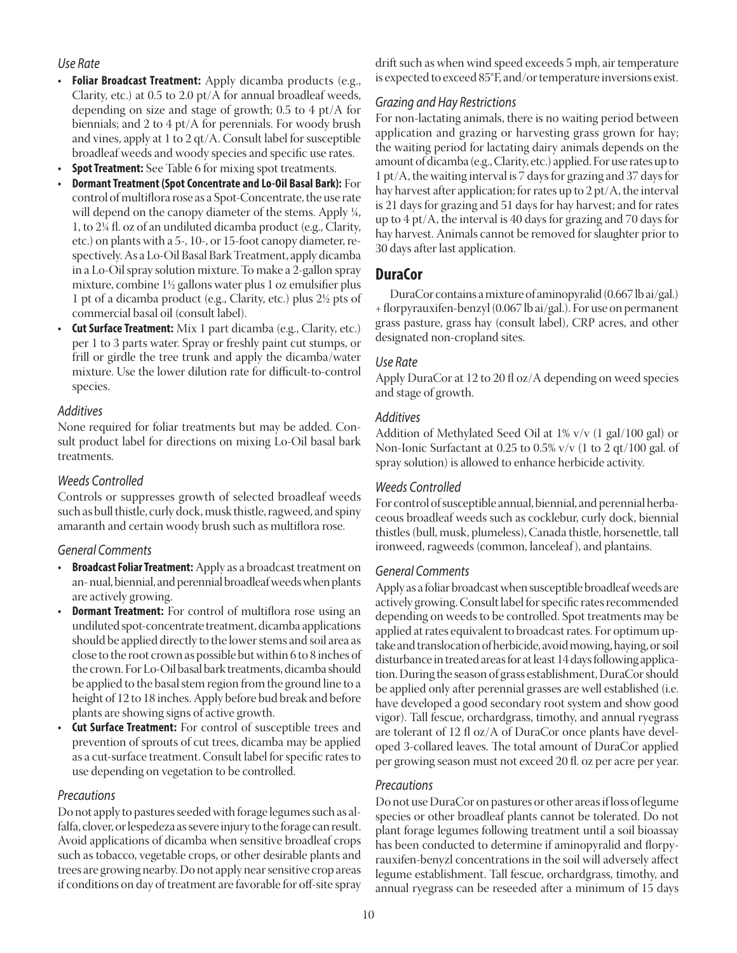### *Use Rate*

- **• Foliar Broadcast Treatment:** Apply dicamba products (e.g., Clarity, etc.) at 0.5 to 2.0 pt/A for annual broadleaf weeds, depending on size and stage of growth; 0.5 to 4 pt/A for biennials; and 2 to 4 pt/A for perennials. For woody brush and vines, apply at 1 to 2 qt/A. Consult label for susceptible broadleaf weeds and woody species and specific use rates.
- **• Spot Treatment:** See Table 6 for mixing spot treatments.
- **• Dormant Treatment (Spot Concentrate and Lo-Oil Basal Bark):** For control of multiflora rose as a Spot-Concentrate, the use rate will depend on the canopy diameter of the stems. Apply  $\frac{1}{4}$ , 1, to 2¼ fl. oz of an undiluted dicamba product (e.g., Clarity, etc.) on plants with a 5-, 10-, or 15-foot canopy diameter, respectively. As a Lo-Oil Basal Bark Treatment, apply dicamba in a Lo-Oil spray solution mixture. To make a 2-gallon spray mixture, combine 1½ gallons water plus 1 oz emulsifier plus 1 pt of a dicamba product (e.g., Clarity, etc.) plus 2½ pts of commercial basal oil (consult label).
- **Cut Surface Treatment:** Mix 1 part dicamba (e.g., Clarity, etc.) per 1 to 3 parts water. Spray or freshly paint cut stumps, or frill or girdle the tree trunk and apply the dicamba/water mixture. Use the lower dilution rate for difficult-to-control species.

### *Additives*

None required for foliar treatments but may be added. Consult product label for directions on mixing Lo-Oil basal bark treatments.

### *Weeds Controlled*

Controls or suppresses growth of selected broadleaf weeds such as bull thistle, curly dock, musk thistle, ragweed, and spiny amaranth and certain woody brush such as multiflora rose.

### *General Comments*

- **• Broadcast Foliar Treatment:** Apply as a broadcast treatment on an- nual, biennial, and perennial broadleaf weeds when plants are actively growing.
- **Dormant Treatment:** For control of multiflora rose using an undiluted spot-concentrate treatment, dicamba applications should be applied directly to the lower stems and soil area as close to the root crown as possible but within 6 to 8 inches of the crown. For Lo-Oil basal bark treatments, dicamba should be applied to the basal stem region from the ground line to a height of 12 to 18 inches. Apply before bud break and before plants are showing signs of active growth.
- **• Cut Surface Treatment:** For control of susceptible trees and prevention of sprouts of cut trees, dicamba may be applied as a cut-surface treatment. Consult label for specific rates to use depending on vegetation to be controlled.

### *Precautions*

Do not apply to pastures seeded with forage legumes such as alfalfa, clover, or lespedeza as severe injury to the forage can result. Avoid applications of dicamba when sensitive broadleaf crops such as tobacco, vegetable crops, or other desirable plants and trees are growing nearby. Do not apply near sensitive crop areas if conditions on day of treatment are favorable for off-site spray drift such as when wind speed exceeds 5 mph, air temperature is expected to exceed 85°F, and/or temperature inversions exist.

### *Grazing and Hay Restrictions*

For non-lactating animals, there is no waiting period between application and grazing or harvesting grass grown for hay; the waiting period for lactating dairy animals depends on the amount of dicamba (e.g., Clarity, etc.) applied. For use rates up to 1 pt/A, the waiting interval is 7 days for grazing and 37 days for hay harvest after application; for rates up to 2 pt/A, the interval is 21 days for grazing and 51 days for hay harvest; and for rates up to 4 pt/A, the interval is 40 days for grazing and 70 days for hay harvest. Animals cannot be removed for slaughter prior to 30 days after last application.

### **DuraCor**

DuraCor contains a mixture of aminopyralid (0.667 lb ai/gal.) + florpyrauxifen-benzyl (0.067 lb ai/gal.). For use on permanent grass pasture, grass hay (consult label), CRP acres, and other designated non-cropland sites.

### *Use Rate*

Apply DuraCor at 12 to 20 fl oz/A depending on weed species and stage of growth.

### *Additives*

Addition of Methylated Seed Oil at 1% v/v (1 gal/100 gal) or Non-Ionic Surfactant at 0.25 to 0.5% v/v (1 to 2 qt/100 gal. of spray solution) is allowed to enhance herbicide activity.

### *Weeds Controlled*

For control of susceptible annual, biennial, and perennial herbaceous broadleaf weeds such as cocklebur, curly dock, biennial thistles (bull, musk, plumeless), Canada thistle, horsenettle, tall ironweed, ragweeds (common, lanceleaf), and plantains.

### *General Comments*

Apply as a foliar broadcast when susceptible broadleaf weeds are actively growing. Consult label for specific rates recommended depending on weeds to be controlled. Spot treatments may be applied at rates equivalent to broadcast rates. For optimum uptake and translocation of herbicide, avoid mowing, haying, or soil disturbance in treated areas for at least 14 days following application. During the season of grass establishment, DuraCor should be applied only after perennial grasses are well established (i.e. have developed a good secondary root system and show good vigor). Tall fescue, orchardgrass, timothy, and annual ryegrass are tolerant of 12 fl oz/A of DuraCor once plants have developed 3-collared leaves. The total amount of DuraCor applied per growing season must not exceed 20 fl. oz per acre per year.

### *Precautions*

Do not use DuraCor on pastures or other areas if loss of legume species or other broadleaf plants cannot be tolerated. Do not plant forage legumes following treatment until a soil bioassay has been conducted to determine if aminopyralid and florpyrauxifen-benyzl concentrations in the soil will adversely affect legume establishment. Tall fescue, orchardgrass, timothy, and annual ryegrass can be reseeded after a minimum of 15 days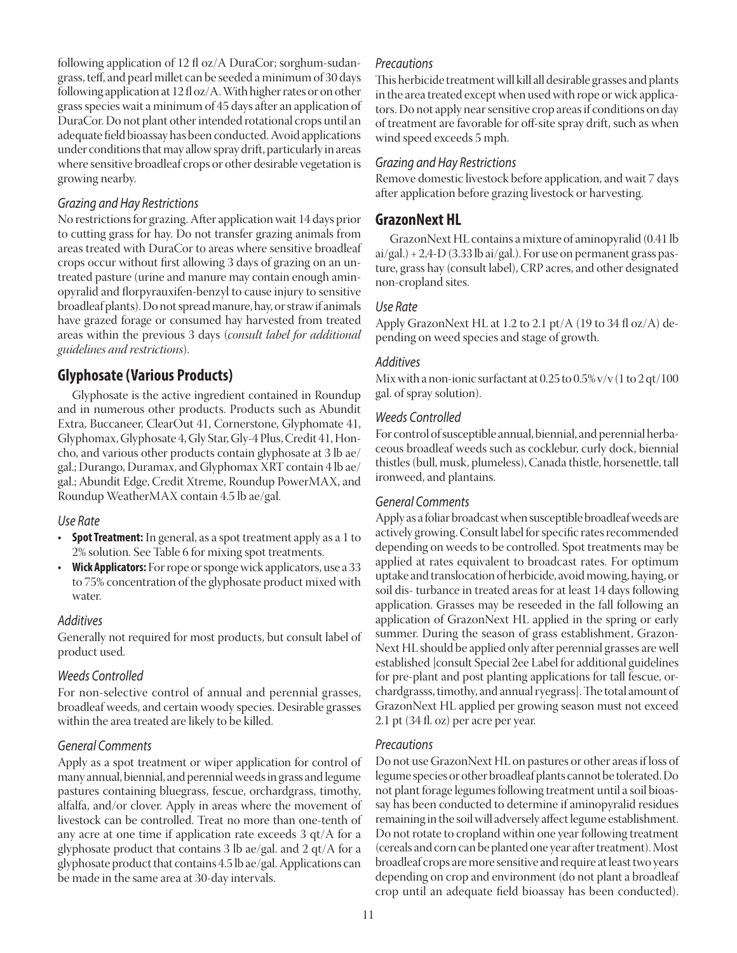following application of 12 fl oz/A DuraCor; sorghum-sudangrass, teff, and pearl millet can be seeded a minimum of 30 days following application at 12 fl oz/A. With higher rates or on other grass species wait a minimum of 45 days after an application of DuraCor. Do not plant other intended rotational crops until an adequate field bioassay has been conducted. Avoid applications under conditions that may allow spray drift, particularly in areas where sensitive broadleaf crops or other desirable vegetation is growing nearby.

### *Grazing and Hay Restrictions*

No restrictions for grazing. After application wait 14 days prior to cutting grass for hay. Do not transfer grazing animals from areas treated with DuraCor to areas where sensitive broadleaf crops occur without first allowing 3 days of grazing on an untreated pasture (urine and manure may contain enough aminopyralid and florpyrauxifen-benzyl to cause injury to sensitive broadleaf plants). Do not spread manure, hay, or straw if animals have grazed forage or consumed hay harvested from treated areas within the previous 3 days (*consult label for additional guidelines and restrictions*).

### **Glyphosate (Various Products)**

Glyphosate is the active ingredient contained in Roundup and in numerous other products. Products such as Abundit Extra, Buccaneer, ClearOut 41, Cornerstone, Glyphomate 41, Glyphomax, Glyphosate 4, Gly Star, Gly-4 Plus, Credit 41, Honcho, and various other products contain glyphosate at 3 lb ae/ gal.; Durango, Duramax, and Glyphomax XRT contain 4 lb ae/ gal.; Abundit Edge, Credit Xtreme, Roundup PowerMAX, and Roundup WeatherMAX contain 4.5 lb ae/gal.

### *Use Rate*

- **• Spot Treatment:** In general, as a spot treatment apply as a 1 to 2% solution. See Table 6 for mixing spot treatments.
- **• Wick Applicators:** For rope or sponge wick applicators, use a 33 to 75% concentration of the glyphosate product mixed with water.

### *Additives*

Generally not required for most products, but consult label of product used.

### *Weeds Controlled*

For non-selective control of annual and perennial grasses, broadleaf weeds, and certain woody species. Desirable grasses within the area treated are likely to be killed.

### *General Comments*

Apply as a spot treatment or wiper application for control of many annual, biennial, and perennial weeds in grass and legume pastures containing bluegrass, fescue, orchardgrass, timothy, alfalfa, and/or clover. Apply in areas where the movement of livestock can be controlled. Treat no more than one-tenth of any acre at one time if application rate exceeds 3 qt/A for a glyphosate product that contains 3 lb ae/gal. and 2 qt/A for a glyphosate product that contains 4.5 lb ae/gal. Applications can be made in the same area at 30-day intervals.

### *Precautions*

This herbicide treatment will kill all desirable grasses and plants in the area treated except when used with rope or wick applicators. Do not apply near sensitive crop areas if conditions on day of treatment are favorable for off-site spray drift, such as when wind speed exceeds 5 mph.

### *Grazing and Hay Restrictions*

Remove domestic livestock before application, and wait 7 days after application before grazing livestock or harvesting.

### **GrazonNext HL**

GrazonNext HL contains a mixture of aminopyralid (0.41 lb ai/gal.) + 2,4-D (3.33 lb ai/gal.). For use on permanent grass pasture, grass hay (consult label), CRP acres, and other designated non-cropland sites.

### *Use Rate*

Apply GrazonNext HL at 1.2 to 2.1 pt/A (19 to 34 fl oz/A) depending on weed species and stage of growth.

### *Additives*

Mix with a non-ionic surfactant at  $0.25$  to  $0.5\%$  v/v  $(1$  to  $2$  qt/100 gal. of spray solution).

### *Weeds Controlled*

For control of susceptible annual, biennial, and perennial herbaceous broadleaf weeds such as cocklebur, curly dock, biennial thistles (bull, musk, plumeless), Canada thistle, horsenettle, tall ironweed, and plantains.

### *General Comments*

Apply as a foliar broadcast when susceptible broadleaf weeds are actively growing. Consult label for specific rates recommended depending on weeds to be controlled. Spot treatments may be applied at rates equivalent to broadcast rates. For optimum uptake and translocation of herbicide, avoid mowing, haying, or soil dis- turbance in treated areas for at least 14 days following application. Grasses may be reseeded in the fall following an application of GrazonNext HL applied in the spring or early summer. During the season of grass establishment, Grazon-Next HL should be applied only after perennial grasses are well established [consult Special 2ee Label for additional guidelines for pre-plant and post planting applications for tall fescue, orchardgrasss, timothy, and annual ryegrass]. The total amount of GrazonNext HL applied per growing season must not exceed 2.1 pt (34 fl. oz) per acre per year.

### *Precautions*

Do not use GrazonNext HL on pastures or other areas if loss of legume species or other broadleaf plants cannot be tolerated. Do not plant forage legumes following treatment until a soil bioassay has been conducted to determine if aminopyralid residues remaining in the soil will adversely affect legume establishment. Do not rotate to cropland within one year following treatment (cereals and corn can be planted one year after treatment). Most broadleaf crops are more sensitive and require at least two years depending on crop and environment (do not plant a broadleaf crop until an adequate field bioassay has been conducted).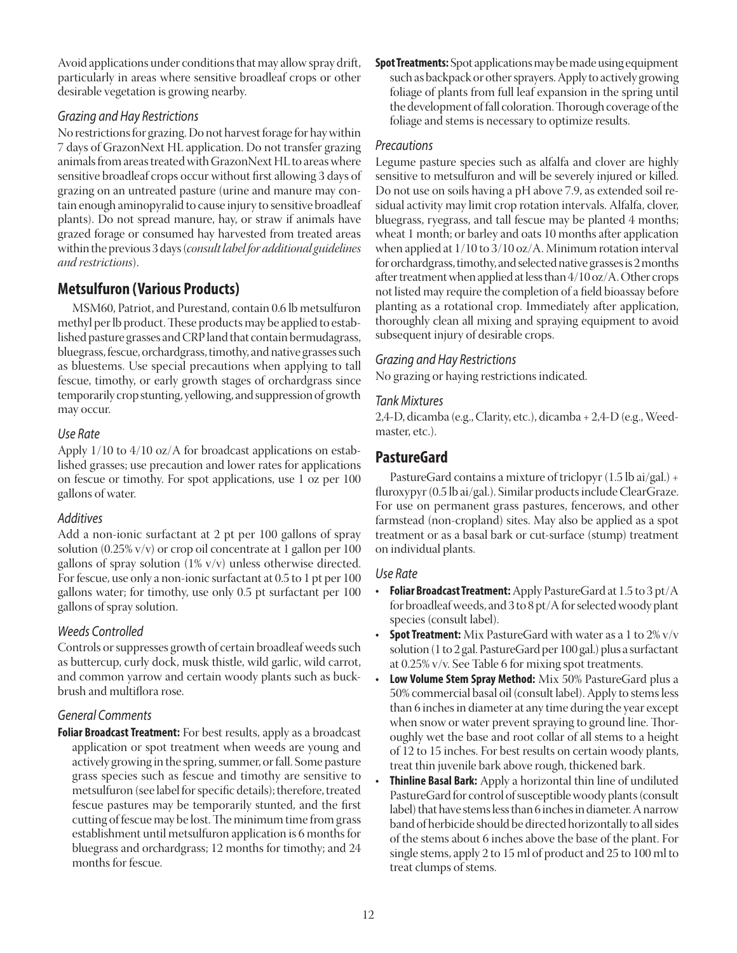Avoid applications under conditions that may allow spray drift, particularly in areas where sensitive broadleaf crops or other desirable vegetation is growing nearby.

### *Grazing and Hay Restrictions*

No restrictions for grazing. Do not harvest forage for hay within 7 days of GrazonNext HL application. Do not transfer grazing animals from areas treated with GrazonNext HL to areas where sensitive broadleaf crops occur without first allowing 3 days of grazing on an untreated pasture (urine and manure may contain enough aminopyralid to cause injury to sensitive broadleaf plants). Do not spread manure, hay, or straw if animals have grazed forage or consumed hay harvested from treated areas within the previous 3 days (*consult label for additional guidelines and restrictions*).

### **Metsulfuron (Various Products)**

MSM60, Patriot, and Purestand, contain 0.6 lb metsulfuron methyl per lb product. These products may be applied to established pasture grasses and CRP land that contain bermudagrass, bluegrass, fescue, orchardgrass, timothy, and native grasses such as bluestems. Use special precautions when applying to tall fescue, timothy, or early growth stages of orchardgrass since temporarily crop stunting, yellowing, and suppression of growth may occur.

### *Use Rate*

Apply 1/10 to 4/10 oz/A for broadcast applications on established grasses; use precaution and lower rates for applications on fescue or timothy. For spot applications, use 1 oz per 100 gallons of water.

### *Additives*

Add a non-ionic surfactant at 2 pt per 100 gallons of spray solution (0.25% v/v) or crop oil concentrate at 1 gallon per 100 gallons of spray solution  $(1\% \text{ v/v})$  unless otherwise directed. For fescue, use only a non-ionic surfactant at 0.5 to 1 pt per 100 gallons water; for timothy, use only 0.5 pt surfactant per 100 gallons of spray solution.

### *Weeds Controlled*

Controls or suppresses growth of certain broadleaf weeds such as buttercup, curly dock, musk thistle, wild garlic, wild carrot, and common yarrow and certain woody plants such as buckbrush and multiflora rose.

### *General Comments*

**Foliar Broadcast Treatment:** For best results, apply as a broadcast application or spot treatment when weeds are young and actively growing in the spring, summer, or fall. Some pasture grass species such as fescue and timothy are sensitive to metsulfuron (see label for specific details); therefore, treated fescue pastures may be temporarily stunted, and the first cutting of fescue may be lost. The minimum time from grass establishment until metsulfuron application is 6 months for bluegrass and orchardgrass; 12 months for timothy; and 24 months for fescue.

**Spot Treatments:** Spot applications may be made using equipment such as backpack or other sprayers. Apply to actively growing foliage of plants from full leaf expansion in the spring until the development of fall coloration. Thorough coverage of the foliage and stems is necessary to optimize results.

### *Precautions*

Legume pasture species such as alfalfa and clover are highly sensitive to metsulfuron and will be severely injured or killed. Do not use on soils having a pH above 7.9, as extended soil residual activity may limit crop rotation intervals. Alfalfa, clover, bluegrass, ryegrass, and tall fescue may be planted 4 months; wheat 1 month; or barley and oats 10 months after application when applied at 1/10 to 3/10 oz/A. Minimum rotation interval for orchardgrass, timothy, and selected native grasses is 2 months after treatment when applied at less than 4/10 oz/A. Other crops not listed may require the completion of a field bioassay before planting as a rotational crop. Immediately after application, thoroughly clean all mixing and spraying equipment to avoid subsequent injury of desirable crops.

### *Grazing and Hay Restrictions*

No grazing or haying restrictions indicated.

### *Tank Mixtures*

2,4-D, dicamba (e.g., Clarity, etc.), dicamba + 2,4-D (e.g., Weedmaster, etc.).

### **PastureGard**

PastureGard contains a mixture of triclopyr (1.5 lb ai/gal.) + fluroxypyr (0.5 lb ai/gal.). Similar products include ClearGraze. For use on permanent grass pastures, fencerows, and other farmstead (non-cropland) sites. May also be applied as a spot treatment or as a basal bark or cut-surface (stump) treatment on individual plants.

### *Use Rate*

- **• Foliar Broadcast Treatment:** Apply PastureGard at 1.5 to 3 pt/A for broadleaf weeds, and 3 to 8 pt/A for selected woody plant species (consult label).
- **Spot Treatment:** Mix PastureGard with water as a 1 to 2% v/v solution (1 to 2 gal. PastureGard per 100 gal.) plus a surfactant at 0.25% v/v. See Table 6 for mixing spot treatments.
- **• Low Volume Stem Spray Method:** Mix 50% PastureGard plus a 50% commercial basal oil (consult label). Apply to stems less than 6 inches in diameter at any time during the year except when snow or water prevent spraying to ground line. Thoroughly wet the base and root collar of all stems to a height of 12 to 15 inches. For best results on certain woody plants, treat thin juvenile bark above rough, thickened bark.
- **• Thinline Basal Bark:** Apply a horizontal thin line of undiluted PastureGard for control of susceptible woody plants (consult label) that have stems less than 6 inches in diameter. A narrow band of herbicide should be directed horizontally to all sides of the stems about 6 inches above the base of the plant. For single stems, apply 2 to 15 ml of product and 25 to 100 ml to treat clumps of stems.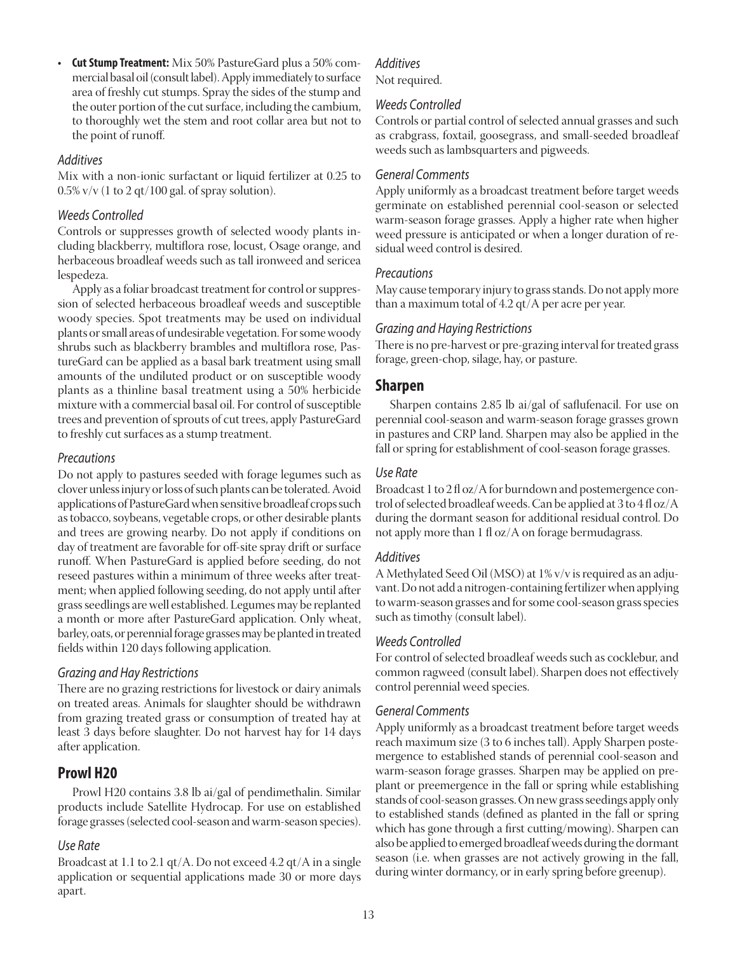**• Cut Stump Treatment:** Mix 50% PastureGard plus a 50% commercial basal oil (consult label). Apply immediately to surface area of freshly cut stumps. Spray the sides of the stump and the outer portion of the cut surface, including the cambium, to thoroughly wet the stem and root collar area but not to the point of runoff.

### *Additives*

Mix with a non-ionic surfactant or liquid fertilizer at 0.25 to  $0.5\%$  v/v (1 to 2 qt/100 gal. of spray solution).

### *Weeds Controlled*

Controls or suppresses growth of selected woody plants including blackberry, multiflora rose, locust, Osage orange, and herbaceous broadleaf weeds such as tall ironweed and sericea lespedeza.

Apply as a foliar broadcast treatment for control or suppression of selected herbaceous broadleaf weeds and susceptible woody species. Spot treatments may be used on individual plants or small areas of undesirable vegetation. For some woody shrubs such as blackberry brambles and multiflora rose, PastureGard can be applied as a basal bark treatment using small amounts of the undiluted product or on susceptible woody plants as a thinline basal treatment using a 50% herbicide mixture with a commercial basal oil. For control of susceptible trees and prevention of sprouts of cut trees, apply PastureGard to freshly cut surfaces as a stump treatment.

### *Precautions*

Do not apply to pastures seeded with forage legumes such as clover unless injury or loss of such plants can be tolerated. Avoid applications of PastureGard when sensitive broadleaf crops such as tobacco, soybeans, vegetable crops, or other desirable plants and trees are growing nearby. Do not apply if conditions on day of treatment are favorable for off-site spray drift or surface runoff. When PastureGard is applied before seeding, do not reseed pastures within a minimum of three weeks after treatment; when applied following seeding, do not apply until after grass seedlings are well established. Legumes may be replanted a month or more after PastureGard application. Only wheat, barley, oats, or perennial forage grasses may be planted in treated fields within 120 days following application.

### *Grazing and Hay Restrictions*

There are no grazing restrictions for livestock or dairy animals on treated areas. Animals for slaughter should be withdrawn from grazing treated grass or consumption of treated hay at least 3 days before slaughter. Do not harvest hay for 14 days after application.

### **Prowl H20**

Prowl H20 contains 3.8 lb ai/gal of pendimethalin. Similar products include Satellite Hydrocap. For use on established forage grasses (selected cool-season and warm-season species).

### *Use Rate*

Broadcast at 1.1 to 2.1 qt/A. Do not exceed 4.2 qt/A in a single application or sequential applications made 30 or more days apart.

### *Additives* Not required.

### *Weeds Controlled*

Controls or partial control of selected annual grasses and such as crabgrass, foxtail, goosegrass, and small-seeded broadleaf weeds such as lambsquarters and pigweeds.

### *General Comments*

Apply uniformly as a broadcast treatment before target weeds germinate on established perennial cool-season or selected warm-season forage grasses. Apply a higher rate when higher weed pressure is anticipated or when a longer duration of residual weed control is desired.

### *Precautions*

May cause temporary injury to grass stands. Do not apply more than a maximum total of 4.2 qt/A per acre per year.

### *Grazing and Haying Restrictions*

There is no pre-harvest or pre-grazing interval for treated grass forage, green-chop, silage, hay, or pasture.

### **Sharpen**

Sharpen contains 2.85 lb ai/gal of saflufenacil. For use on perennial cool-season and warm-season forage grasses grown in pastures and CRP land. Sharpen may also be applied in the fall or spring for establishment of cool-season forage grasses.

### *Use Rate*

Broadcast 1 to 2 fl oz/A for burndown and postemergence control of selected broadleaf weeds. Can be applied at 3 to 4 fl oz/A during the dormant season for additional residual control. Do not apply more than 1 fl oz/A on forage bermudagrass.

### *Additives*

A Methylated Seed Oil (MSO) at 1% v/v is required as an adjuvant. Do not add a nitrogen-containing fertilizer when applying to warm-season grasses and for some cool-season grass species such as timothy (consult label).

### *Weeds Controlled*

For control of selected broadleaf weeds such as cocklebur, and common ragweed (consult label). Sharpen does not effectively control perennial weed species.

### *General Comments*

Apply uniformly as a broadcast treatment before target weeds reach maximum size (3 to 6 inches tall). Apply Sharpen postemergence to established stands of perennial cool-season and warm-season forage grasses. Sharpen may be applied on preplant or preemergence in the fall or spring while establishing stands of cool-season grasses. On new grass seedings apply only to established stands (defined as planted in the fall or spring which has gone through a first cutting/mowing). Sharpen can also be applied to emerged broadleaf weeds during the dormant season (i.e. when grasses are not actively growing in the fall, during winter dormancy, or in early spring before greenup).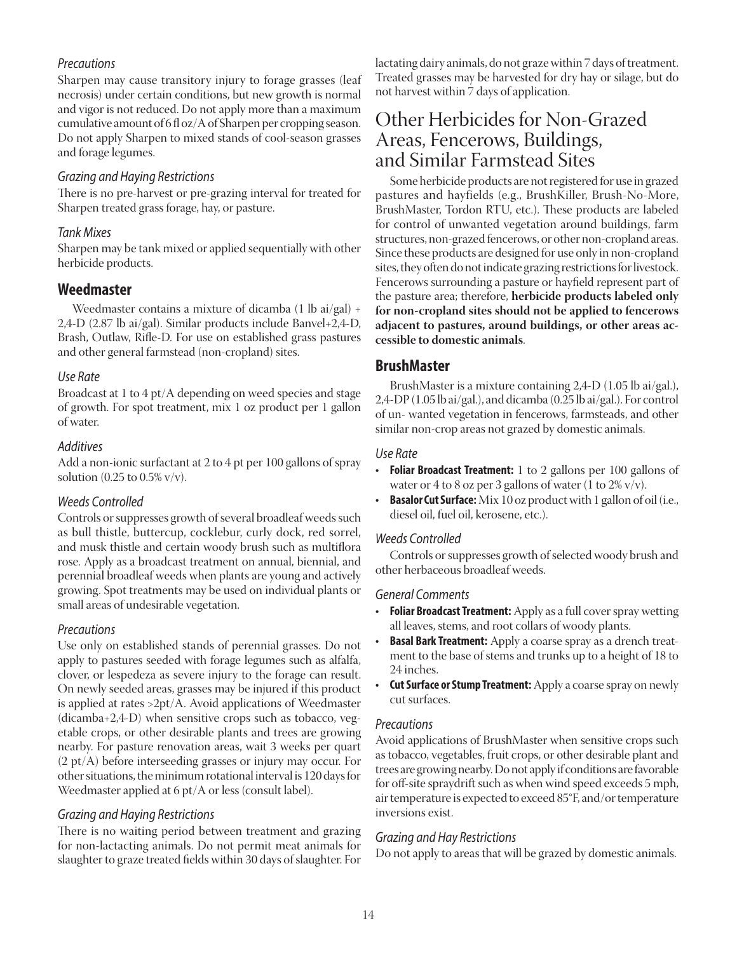### *Precautions*

Sharpen may cause transitory injury to forage grasses (leaf necrosis) under certain conditions, but new growth is normal and vigor is not reduced. Do not apply more than a maximum cumulative amount of 6 fl oz/A of Sharpen per cropping season. Do not apply Sharpen to mixed stands of cool-season grasses and forage legumes.

### *Grazing and Haying Restrictions*

There is no pre-harvest or pre-grazing interval for treated for Sharpen treated grass forage, hay, or pasture.

### *Tank Mixes*

Sharpen may be tank mixed or applied sequentially with other herbicide products.

### **Weedmaster**

Weedmaster contains a mixture of dicamba (1 lb ai/gal) + 2,4-D (2.87 lb ai/gal). Similar products include Banvel+2,4-D, Brash, Outlaw, Rifle-D. For use on established grass pastures and other general farmstead (non-cropland) sites.

### *Use Rate*

Broadcast at 1 to 4 pt/A depending on weed species and stage of growth. For spot treatment, mix 1 oz product per 1 gallon of water.

### *Additives*

Add a non-ionic surfactant at 2 to 4 pt per 100 gallons of spray solution (0.25 to  $0.5\%$  v/v).

### *Weeds Controlled*

Controls or suppresses growth of several broadleaf weeds such as bull thistle, buttercup, cocklebur, curly dock, red sorrel, and musk thistle and certain woody brush such as multiflora rose. Apply as a broadcast treatment on annual, biennial, and perennial broadleaf weeds when plants are young and actively growing. Spot treatments may be used on individual plants or small areas of undesirable vegetation.

### *Precautions*

Use only on established stands of perennial grasses. Do not apply to pastures seeded with forage legumes such as alfalfa, clover, or lespedeza as severe injury to the forage can result. On newly seeded areas, grasses may be injured if this product is applied at rates >2pt/A. Avoid applications of Weedmaster (dicamba+2,4-D) when sensitive crops such as tobacco, vegetable crops, or other desirable plants and trees are growing nearby. For pasture renovation areas, wait 3 weeks per quart (2 pt/A) before interseeding grasses or injury may occur. For other situations, the minimum rotational interval is 120 days for Weedmaster applied at 6 pt/A or less (consult label).

### *Grazing and Haying Restrictions*

There is no waiting period between treatment and grazing for non-lactacting animals. Do not permit meat animals for slaughter to graze treated fields within 30 days of slaughter. For lactating dairy animals, do not graze within 7 days of treatment. Treated grasses may be harvested for dry hay or silage, but do not harvest within 7 days of application.

## Other Herbicides for Non-Grazed Areas, Fencerows, Buildings, and Similar Farmstead Sites

Some herbicide products are not registered for use in grazed pastures and hayfields (e.g., BrushKiller, Brush-No-More, BrushMaster, Tordon RTU, etc.). These products are labeled for control of unwanted vegetation around buildings, farm structures, non-grazed fencerows, or other non-cropland areas. Since these products are designed for use only in non-cropland sites, they often do not indicate grazing restrictions for livestock. Fencerows surrounding a pasture or hayfield represent part of the pasture area; therefore, **herbicide products labeled only for non-cropland sites should not be applied to fencerows adjacent to pastures, around buildings, or other areas accessible to domestic animals**.

### **BrushMaster**

BrushMaster is a mixture containing 2,4-D (1.05 lb ai/gal.), 2,4-DP (1.05 lb ai/gal.), and dicamba (0.25 lb ai/gal.). For control of un- wanted vegetation in fencerows, farmsteads, and other similar non-crop areas not grazed by domestic animals.

### *Use Rate*

- **• Foliar Broadcast Treatment:** 1 to 2 gallons per 100 gallons of water or 4 to 8 oz per 3 gallons of water (1 to  $2\%$  v/v).
- **• Basalor Cut Surface:** Mix 10 oz product with 1 gallon of oil (i.e., diesel oil, fuel oil, kerosene, etc.).

### *Weeds Controlled*

Controls or suppresses growth of selected woody brush and other herbaceous broadleaf weeds.

### *General Comments*

- **• Foliar Broadcast Treatment:** Apply as a full cover spray wetting all leaves, stems, and root collars of woody plants.
- **• Basal Bark Treatment:** Apply a coarse spray as a drench treatment to the base of stems and trunks up to a height of 18 to 24 inches.
- **• Cut Surface or Stump Treatment:** Apply a coarse spray on newly cut surfaces.

### *Precautions*

Avoid applications of BrushMaster when sensitive crops such as tobacco, vegetables, fruit crops, or other desirable plant and trees are growing nearby. Do not apply if conditions are favorable for off-site spraydrift such as when wind speed exceeds 5 mph, air temperature is expected to exceed 85°F, and/or temperature inversions exist.

### *Grazing and Hay Restrictions*

Do not apply to areas that will be grazed by domestic animals.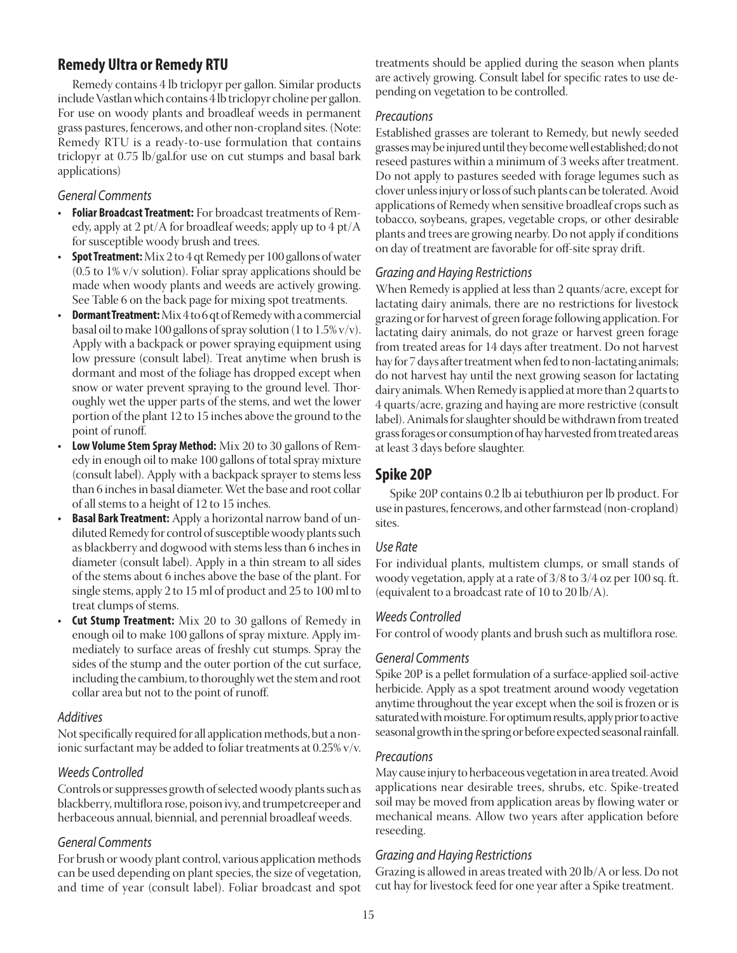### **Remedy Ultra or Remedy RTU**

Remedy contains 4 lb triclopyr per gallon. Similar products include Vastlan which contains 4 lb triclopyr choline per gallon. For use on woody plants and broadleaf weeds in permanent grass pastures, fencerows, and other non-cropland sites. (Note: Remedy RTU is a ready-to-use formulation that contains triclopyr at 0.75 lb/gal.for use on cut stumps and basal bark applications)

### *General Comments*

- **• Foliar Broadcast Treatment:** For broadcast treatments of Remedy, apply at 2 pt/A for broadleaf weeds; apply up to 4 pt/A for susceptible woody brush and trees.
- **• Spot Treatment:** Mix 2 to 4 qt Remedy per 100 gallons of water (0.5 to 1% v/v solution). Foliar spray applications should be made when woody plants and weeds are actively growing. See Table 6 on the back page for mixing spot treatments.
- **• Dormant Treatment:** Mix 4 to 6 qt of Remedy with a commercial basal oil to make 100 gallons of spray solution (1 to 1.5% v/v). Apply with a backpack or power spraying equipment using low pressure (consult label). Treat anytime when brush is dormant and most of the foliage has dropped except when snow or water prevent spraying to the ground level. Thoroughly wet the upper parts of the stems, and wet the lower portion of the plant 12 to 15 inches above the ground to the point of runoff.
- **• Low Volume Stem Spray Method:** Mix 20 to 30 gallons of Remedy in enough oil to make 100 gallons of total spray mixture (consult label). Apply with a backpack sprayer to stems less than 6 inches in basal diameter. Wet the base and root collar of all stems to a height of 12 to 15 inches.
- **• Basal Bark Treatment:** Apply a horizontal narrow band of undiluted Remedy for control of susceptible woody plants such as blackberry and dogwood with stems less than 6 inches in diameter (consult label). Apply in a thin stream to all sides of the stems about 6 inches above the base of the plant. For single stems, apply 2 to 15 ml of product and 25 to 100 ml to treat clumps of stems.
- **• Cut Stump Treatment:** Mix 20 to 30 gallons of Remedy in enough oil to make 100 gallons of spray mixture. Apply immediately to surface areas of freshly cut stumps. Spray the sides of the stump and the outer portion of the cut surface, including the cambium, to thoroughly wet the stem and root collar area but not to the point of runoff.

### *Additives*

Not specifically required for all application methods, but a nonionic surfactant may be added to foliar treatments at 0.25% v/v.

### *Weeds Controlled*

Controls or suppresses growth of selected woody plants such as blackberry, multiflora rose, poison ivy, and trumpetcreeper and herbaceous annual, biennial, and perennial broadleaf weeds.

### *General Comments*

For brush or woody plant control, various application methods can be used depending on plant species, the size of vegetation, and time of year (consult label). Foliar broadcast and spot

treatments should be applied during the season when plants are actively growing. Consult label for specific rates to use depending on vegetation to be controlled.

### *Precautions*

Established grasses are tolerant to Remedy, but newly seeded grasses may be injured until they become well established; do not reseed pastures within a minimum of 3 weeks after treatment. Do not apply to pastures seeded with forage legumes such as clover unless injury or loss of such plants can be tolerated. Avoid applications of Remedy when sensitive broadleaf crops such as tobacco, soybeans, grapes, vegetable crops, or other desirable plants and trees are growing nearby. Do not apply if conditions on day of treatment are favorable for off-site spray drift.

### *Grazing and Haying Restrictions*

When Remedy is applied at less than 2 quants/acre, except for lactating dairy animals, there are no restrictions for livestock grazing or for harvest of green forage following application. For lactating dairy animals, do not graze or harvest green forage from treated areas for 14 days after treatment. Do not harvest hay for 7 days after treatment when fed to non-lactating animals; do not harvest hay until the next growing season for lactating dairy animals. When Remedy is applied at more than 2 quarts to 4 quarts/acre, grazing and haying are more restrictive (consult label). Animals for slaughter should be withdrawn from treated grass forages or consumption of hay harvested from treated areas at least 3 days before slaughter.

### **Spike 20P**

Spike 20P contains 0.2 lb ai tebuthiuron per lb product. For use in pastures, fencerows, and other farmstead (non-cropland) sites.

### *Use Rate*

For individual plants, multistem clumps, or small stands of woody vegetation, apply at a rate of 3/8 to 3/4 oz per 100 sq. ft. (equivalent to a broadcast rate of 10 to 20 lb/A).

### *Weeds Controlled*

For control of woody plants and brush such as multiflora rose.

### *General Comments*

Spike 20P is a pellet formulation of a surface-applied soil-active herbicide. Apply as a spot treatment around woody vegetation anytime throughout the year except when the soil is frozen or is saturated with moisture. For optimum results, apply prior to active seasonal growth in the spring or before expected seasonal rainfall.

### *Precautions*

May cause injury to herbaceous vegetation in area treated. Avoid applications near desirable trees, shrubs, etc. Spike-treated soil may be moved from application areas by flowing water or mechanical means. Allow two years after application before reseeding.

### *Grazing and Haying Restrictions*

Grazing is allowed in areas treated with 20 lb/A or less. Do not cut hay for livestock feed for one year after a Spike treatment.